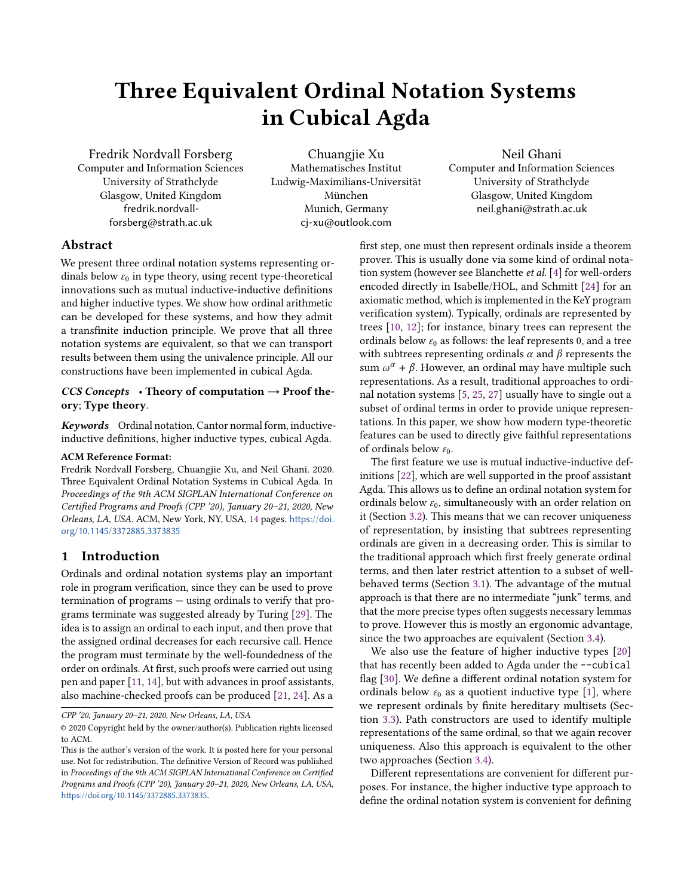# Three Equivalent Ordinal Notation Systems in Cubical Agda

Fredrik Nordvall Forsberg Computer and Information Sciences University of Strathclyde Glasgow, United Kingdom fredrik.nordvallforsberg@strath.ac.uk

Chuangjie Xu Mathematisches Institut Ludwig-Maximilians-Universität München Munich, Germany cj-xu@outlook.com

## Neil Ghani

Computer and Information Sciences University of Strathclyde Glasgow, United Kingdom neil.ghani@strath.ac.uk

## Abstract

We present three ordinal notation systems representing ordinals below  $\varepsilon_0$  in type theory, using recent type-theoretical innovations such as mutual inductive-inductive definitions and higher inductive types. We show how ordinal arithmetic can be developed for these systems, and how they admit a transfinite induction principle. We prove that all three notation systems are equivalent, so that we can transport results between them using the univalence principle. All our constructions have been implemented in cubical Agda.

#### CCS Concepts • Theory of computation  $\rightarrow$  Proof theory; Type theory.

Keywords Ordinal notation, Cantor normal form, inductiveinductive definitions, higher inductive types, cubical Agda.

#### ACM Reference Format:

Fredrik Nordvall Forsberg, Chuangjie Xu, and Neil Ghani. 2020. Three Equivalent Ordinal Notation Systems in Cubical Agda. In Proceedings of the 9th ACM SIGPLAN International Conference on Certified Programs and Proofs (CPP '20), January 20–21, 2020, New Orleans, LA, USA. ACM, New York, NY, USA, [14](#page-13-0) pages. [https://doi.](https://doi.org/10.1145/3372885.3373835) [org/10.1145/3372885.3373835](https://doi.org/10.1145/3372885.3373835)

## 1 Introduction

Ordinals and ordinal notation systems play an important role in program verification, since they can be used to prove termination of programs — using ordinals to verify that programs terminate was suggested already by Turing [\[29\]](#page-13-1). The idea is to assign an ordinal to each input, and then prove that the assigned ordinal decreases for each recursive call. Hence the program must terminate by the well-foundedness of the order on ordinals. At first, such proofs were carried out using pen and paper [\[11,](#page-12-0) [14\]](#page-13-2), but with advances in proof assistants, also machine-checked proofs can be produced [\[21,](#page-13-3) [24\]](#page-13-4). As a

CPP '20, January 20–21, 2020, New Orleans, LA, USA

first step, one must then represent ordinals inside a theorem prover. This is usually done via some kind of ordinal notation system (however see Blanchette et al. [\[4\]](#page-12-1) for well-orders encoded directly in Isabelle/HOL, and Schmitt [\[24\]](#page-13-4) for an axiomatic method, which is implemented in the KeY program verification system). Typically, ordinals are represented by trees [\[10,](#page-12-2) [12\]](#page-12-3); for instance, binary trees can represent the ordinals below  $\varepsilon_0$  as follows: the leaf represents 0, and a tree with subtrees representing ordinals  $\alpha$  and  $\beta$  represents the sum  $\omega^{\alpha}$  +  $\beta$ . However, an ordinal may have multiple such representations. As a result, traditional approaches to ordinal notation systems [\[5,](#page-12-4) [25,](#page-13-5) [27\]](#page-13-6) usually have to single out a subset of ordinal terms in order to provide unique representations. In this paper, we show how modern type-theoretic features can be used to directly give faithful representations of ordinals below  $\varepsilon_0$ .

The first feature we use is mutual inductive-inductive definitions [\[22\]](#page-13-7), which are well supported in the proof assistant Agda. This allows us to define an ordinal notation system for ordinals below  $\varepsilon_0$ , simultaneously with an order relation on it (Section [3.2\)](#page-4-0). This means that we can recover uniqueness of representation, by insisting that subtrees representing ordinals are given in a decreasing order. This is similar to the traditional approach which first freely generate ordinal terms, and then later restrict attention to a subset of wellbehaved terms (Section [3.1\)](#page-3-0). The advantage of the mutual approach is that there are no intermediate "junk" terms, and that the more precise types often suggests necessary lemmas to prove. However this is mostly an ergonomic advantage, since the two approaches are equivalent (Section [3.4\)](#page-5-0).

We also use the feature of higher inductive types [\[20\]](#page-13-8) that has recently been added to Agda under the --cubical flag [\[30\]](#page-13-9). We define a different ordinal notation system for ordinals below  $\varepsilon_0$  as a quotient inductive type [\[1\]](#page-12-5), where we represent ordinals by finite hereditary multisets (Section [3.3\)](#page-4-1). Path constructors are used to identify multiple representations of the same ordinal, so that we again recover uniqueness. Also this approach is equivalent to the other two approaches (Section [3.4\)](#page-5-0).

Different representations are convenient for different purposes. For instance, the higher inductive type approach to define the ordinal notation system is convenient for defining

<sup>©</sup> 2020 Copyright held by the owner/author(s). Publication rights licensed to ACM.

This is the author's version of the work. It is posted here for your personal use. Not for redistribution. The definitive Version of Record was published in Proceedings of the 9th ACM SIGPLAN International Conference on Certified Programs and Proofs (CPP '20), January 20–21, 2020, New Orleans, LA, USA, <https://doi.org/10.1145/3372885.3373835>.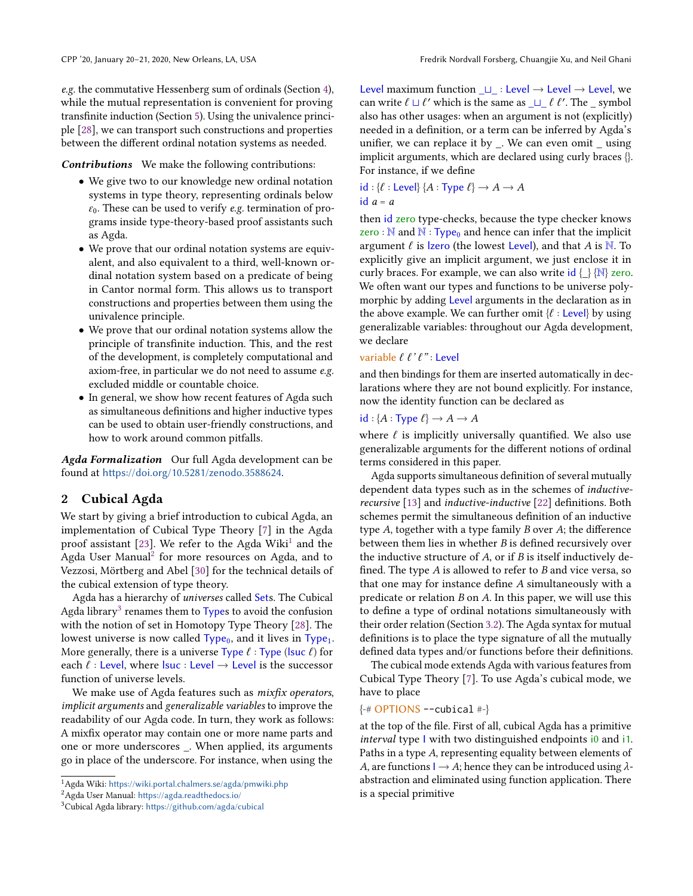e.g. the commutative Hessenberg sum of ordinals (Section [4\)](#page-7-0), while the mutual representation is convenient for proving transfinite induction (Section [5\)](#page-9-0). Using the univalence principle [\[28\]](#page-13-10), we can transport such constructions and properties between the different ordinal notation systems as needed.

Contributions We make the following contributions:

- We give two to our knowledge new ordinal notation systems in type theory, representing ordinals below  $\varepsilon_0$ . These can be used to verify *e.g.* termination of programs inside type-theory-based proof assistants such as Agda.
- We prove that our ordinal notation systems are equivalent, and also equivalent to a third, well-known ordinal notation system based on a predicate of being in Cantor normal form. This allows us to transport constructions and properties between them using the univalence principle.
- We prove that our ordinal notation systems allow the principle of transfinite induction. This, and the rest of the development, is completely computational and axiom-free, in particular we do not need to assume e.g. excluded middle or countable choice.
- In general, we show how recent features of Agda such as simultaneous definitions and higher inductive types can be used to obtain user-friendly constructions, and how to work around common pitfalls.

Agda Formalization Our full Agda development can be found at <https://doi.org/10.5281/zenodo.3588624>.

#### <span id="page-1-3"></span>2 Cubical Agda

We start by giving a brief introduction to cubical Agda, an implementation of Cubical Type Theory [\[7\]](#page-12-6) in the Agda proof assistant [\[23\]](#page-13-11). We refer to the Agda Wiki<sup>[1](#page-1-0)</sup> and the Agda User Manual $^2$  $^2$  for more resources on Agda, and to Vezzosi, Mörtberg and Abel [\[30\]](#page-13-9) for the technical details of the cubical extension of type theory.

Agda has a hierarchy of universes called Sets. The Cubical Agda library<sup>[3](#page-1-2)</sup> renames them to Types to avoid the confusion with the notion of set in Homotopy Type Theory [\[28\]](#page-13-10). The lowest universe is now called  $Type_0$ , and it lives in  $Type_1$ . More generally, there is a universe Type  $\ell$  : Type (lsuc  $\ell$ ) for each  $\ell$  : Level, where lsuc : Level  $\rightarrow$  Level is the successor function of universe levels.

We make use of Agda features such as *mixfix operators*, implicit arguments and generalizable variables to improve the readability of our Agda code. In turn, they work as follows: A mixfix operator may contain one or more name parts and one or more underscores \_. When applied, its arguments go in place of the underscore. For instance, when using the

Level maximum function  $□$  : Level → Level → Level, we can write  $\ell \sqcup \ell'$  which is the same as  $\sqcup \_ \ell \ell'$ . The  $\sqsubseteq$  symbol<br>also has other usages: when an argument is not (explicitly) also has other usages: when an argument is not (explicitly) needed in a definition, or a term can be inferred by Agda's unifier, we can replace it by \_. We can even omit \_ using implicit arguments, which are declared using curly braces {}. For instance, if we define

 $id : \{\ell : \text{Level}\}\$   $\{A : \text{Type } \ell\} \rightarrow A \rightarrow A$ id  $a = a$ 

then id zero type-checks, because the type checker knows zero :  $\mathbb N$  and  $\mathbb N$  : Type<sub>0</sub> and hence can infer that the implicit argument  $\ell$  is *lzero* (the lowest Level), and that A is N. To explicitly give an implicit argument, we just enclose it in curly braces. For example, we can also write  $id \{\}\{\mathbb{N}\}\$ zero. We often want our types and functions to be universe polymorphic by adding Level arguments in the declaration as in the above example. We can further omit  $\{l : \text{Level}\}$  by using generalizable variables: throughout our Agda development, we declare

#### variable  $\ell \ell' \ell''$ : Level

and then bindings for them are inserted automatically in declarations where they are not bound explicitly. For instance, now the identity function can be declared as

## $id : \{A : \text{Type } \ell\} \rightarrow A \rightarrow A$

where  $\ell$  is implicitly universally quantified. We also use generalizable arguments for the different notions of ordinal terms considered in this paper.

Agda supports simultaneous definition of several mutually dependent data types such as in the schemes of inductiverecursive [\[13\]](#page-13-12) and inductive-inductive [\[22\]](#page-13-7) definitions. Both schemes permit the simultaneous definition of an inductive type A, together with a type family B over A; the difference between them lies in whether B is defined recursively over the inductive structure of  $A$ , or if  $B$  is itself inductively defined. The type  $A$  is allowed to refer to  $B$  and vice versa, so that one may for instance define A simultaneously with a predicate or relation B on A. In this paper, we will use this to define a type of ordinal notations simultaneously with their order relation (Section [3.2\)](#page-4-0). The Agda syntax for mutual definitions is to place the type signature of all the mutually defined data types and/or functions before their definitions.

The cubical mode extends Agda with various features from Cubical Type Theory [\[7\]](#page-12-6). To use Agda's cubical mode, we have to place

#### $\{-\#$  OPTIONS --cubical  $\#$ - $\}$

at the top of the file. First of all, cubical Agda has a primitive interval type I with two distinguished endpoints i0 and i1. Paths in a type A, representing equality between elements of A, are functions  $I \rightarrow A$ ; hence they can be introduced using  $\lambda$ abstraction and eliminated using function application. There is a special primitive

<span id="page-1-0"></span> $^1$ Agda Wiki: <https://wiki.portal.chalmers.se/agda/pmwiki.php>

<span id="page-1-1"></span><sup>2</sup>Agda User Manual: <https://agda.readthedocs.io/>

<span id="page-1-2"></span><sup>3</sup>Cubical Agda library: <https://github.com/agda/cubical>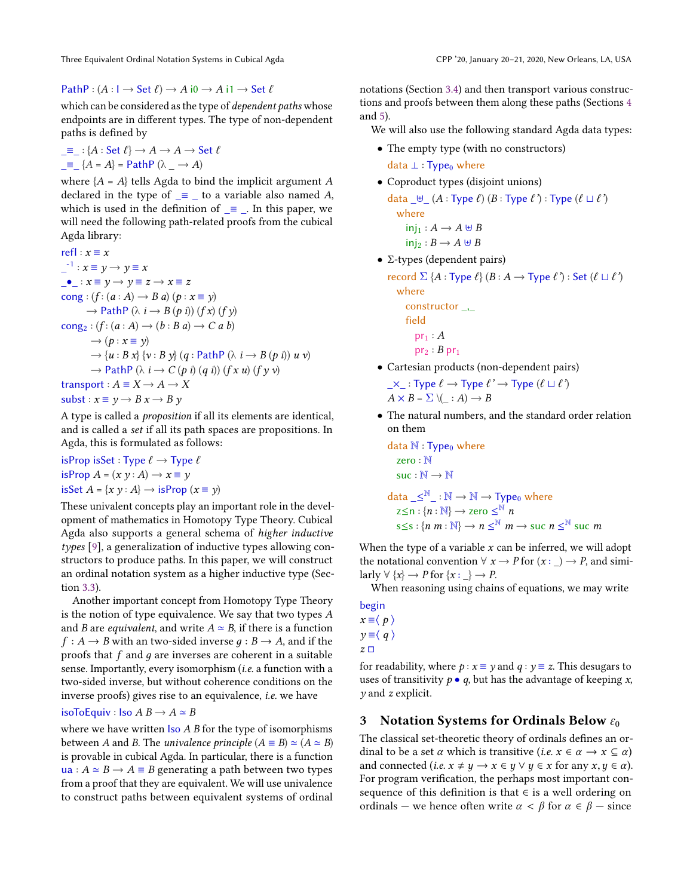PathP :  $(A: I \rightarrow Set \ell) \rightarrow A$  i $0 \rightarrow A$  i $1 \rightarrow Set \ell$ 

which can be considered as the type of dependent paths whose endpoints are in different types. The type of non-dependent paths is defined by

$$
\begin{aligned}\n\_ &= \_ : \{A : \text{Set } \ell\} \to A \to A \to \text{Set } \ell \\
\_ &= \_ \{A = A\} = \text{PathP } (\lambda \_ \to A)\n\end{aligned}
$$

where  ${A = A}$  tells Agda to bind the implicit argument A declared in the type of  $\equiv$  to a variable also named A, which is used in the definition of  $\equiv$  . In this paper, we will need the following path-related proofs from the cubical Agda library:

refl :  $x \equiv x$  $i^{-1}$  :  $x \equiv y \rightarrow y \equiv x$  $\bullet$  :  $x \equiv y \rightarrow y \equiv z \rightarrow x \equiv z$ cong :  $(f:(a:A) \rightarrow B \ a) (p:x \equiv y)$  $\rightarrow$  PathP ( $\lambda$  i  $\rightarrow$  B (p i)) (f x) (f y)  $\text{cong}_2 : (f : (a : A) \rightarrow (b : B a) \rightarrow C a b)$  $\rightarrow$   $(p : x \equiv y)$  $\rightarrow$  {u : B x} {v : B y} (q : PathP ( $\lambda$  i  $\rightarrow$  B (p i)) u v)  $\rightarrow$  PathP ( $\lambda$  i  $\rightarrow$  C (p i) (q i)) (f x u) (f y v) transport :  $A \equiv X \rightarrow A \rightarrow X$ subst :  $x \equiv y \rightarrow B x \rightarrow B y$ 

A type is called a proposition if all its elements are identical, and is called a set if all its path spaces are propositions. In Agda, this is formulated as follows:

isProp isSet : Type  $\ell \rightarrow$  Type  $\ell$ isProp  $A = (x \, y : A) \rightarrow x \equiv y$ isSet  $A = \{x \, y : A\} \rightarrow \text{isProp } (x \equiv y)$ 

These univalent concepts play an important role in the development of mathematics in Homotopy Type Theory. Cubical Agda also supports a general schema of higher inductive types [\[9\]](#page-12-7), a generalization of inductive types allowing constructors to produce paths. In this paper, we will construct an ordinal notation system as a higher inductive type (Section [3.3\)](#page-4-1).

Another important concept from Homotopy Type Theory is the notion of type equivalence. We say that two types A and *B* are *equivalent*, and write  $A \simeq B$ , if there is a function  $f : A \rightarrow B$  with an two-sided inverse  $q : B \rightarrow A$ , and if the proofs that  $f$  and  $g$  are inverses are coherent in a suitable sense. Importantly, every isomorphism (i.e. a function with a two-sided inverse, but without coherence conditions on the inverse proofs) gives rise to an equivalence, i.e. we have

#### isoToEquiv : Iso A B → A ≃ B

where we have written  $\textsf{Iso }A$  B for the type of isomorphisms between A and B. The *univalence principle*  $(A \equiv B) \simeq (A \simeq B)$ is provable in cubical Agda. In particular, there is a function ua :  $A \simeq B \rightarrow A \equiv B$  generating a path between two types from a proof that they are equivalent. We will use univalence to construct paths between equivalent systems of ordinal

notations (Section [3.4\)](#page-5-0) and then transport various constructions and proofs between them along these paths (Sections [4](#page-7-0) and [5\)](#page-9-0).

We will also use the following standard Agda data types:

• The empty type (with no constructors) data  $\perp$  : Type<sub>0</sub> where

• Coproduct types (disjoint unions)

data  $\bigcup_{i=1}^{\infty} (A : Type \ell) (B : Type \ell') : Type \ell' \cup \ell'$ where  $inj_1 : A \rightarrow A \cup B$  $\text{ini}_2 : B \longrightarrow A \boxplus B$ 

$$
\frac{m_2 \cdot D}{\cdot \cdot \cdot \cdot}
$$

 $\bullet$  Σ-types (dependent pairs)

record  $\Sigma$  {A : Type  $\ell$ } (B : A  $\rightarrow$  Type  $\ell$ ) : Set ( $\ell \sqcup \ell$ ) where

constructor, field  $pr_1 : A$ 

$$
pr_2: B\,pr_1
$$

• Cartesian products (non-dependent pairs)  $\times$  : Type  $\ell \to \text{Type } \ell' \to \text{Type } (\ell \sqcup \ell')$ 

$$
A \times B = \Sigma \setminus ( \_ : A ) \to B
$$

• The natural numbers, and the standard order relation on them

data  $\mathbb{N}$  : Type<sub>0</sub> where zero : N  $suc : N \rightarrow N$ data  $\preceq^{\mathbb{N}}\preceq$  :  $\mathbb{N} \to \mathbb{N} \to \text{Type}_0$  where  $z{\leq}n:\{n:\mathbb{N}\}\to$  zero  $\leq^{\stackrel{\circ}{\mathbb{N}}}n$  $s \leq s : \{n | m : \mathbb{N}\} \to n \leq^{\mathbb{N}} m \to \text{succ } n \leq^{\mathbb{N}} \text{succ } m$ 

When the type of a variable  $x$  can be inferred, we will adopt the notational convention  $\forall x \rightarrow P$  for  $(x : ) \rightarrow P$ , and similarly  $\forall \{x\} \rightarrow P$  for  $\{x : \_\} \rightarrow P$ .

When reasoning using chains of equations, we may write

begin  $x \equiv \langle p \rangle$  $y \equiv \langle q \rangle$  $z \Box$ 

for readability, where  $p : x \equiv y$  and  $q : y \equiv z$ . This desugars to uses of transitivity  $p \bullet q$ , but has the advantage of keeping x,  $\nu$  and  $z$  explicit.

## 3 Notation Systems for Ordinals Below  $\varepsilon_0$

The classical set-theoretic theory of ordinals defines an ordinal to be a set  $\alpha$  which is transitive (*i.e.*  $x \in \alpha \rightarrow x \subseteq \alpha$ ) and connected (*i.e.*  $x \neq y \rightarrow x \in y \lor y \in x$  for any  $x, y \in \alpha$ ). For program verification, the perhaps most important consequence of this definition is that ∈ is a well ordering on ordinals — we hence often write  $\alpha < \beta$  for  $\alpha \in \beta$  — since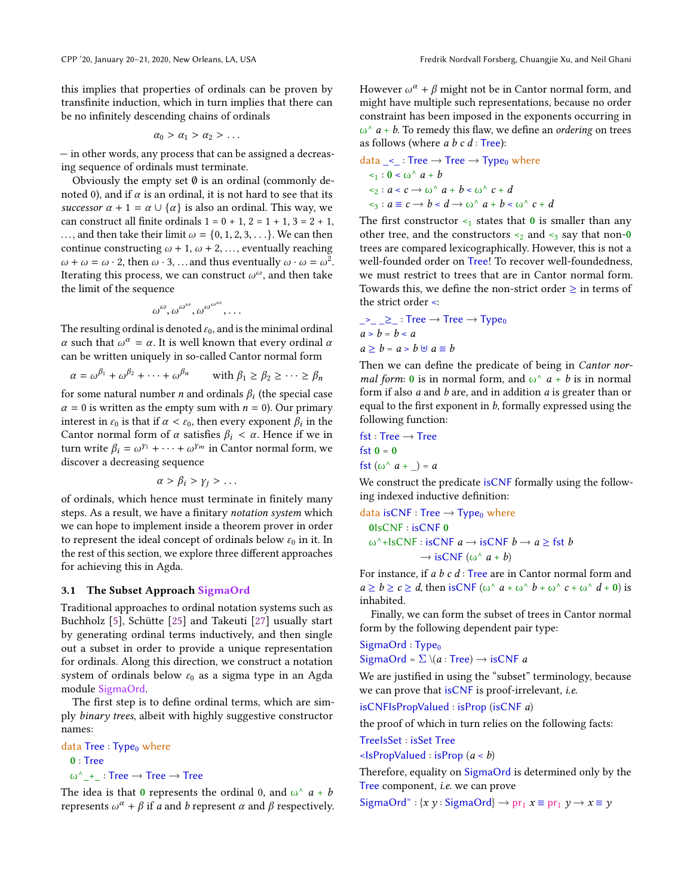be no infinitely descending chains of ordinals

this implies that properties of ordinals can be proven by transfinite induction, which in turn implies that there can

$$
\alpha_0 > \alpha_1 > \alpha_2 > \ldots
$$

— in other words, any process that can be assigned a decreasing sequence of ordinals must terminate.

Obviously the empty set  $\emptyset$  is an ordinal (commonly denoted 0), and if  $\alpha$  is an ordinal, it is not hard to see that its successor  $\alpha + 1 = \alpha \cup {\alpha}$  is also an ordinal. This way, we can construct all finite ordinals  $1 = 0 + 1$ ,  $2 = 1 + 1$ ,  $3 = 2 + 1$ , ..., and then take their limit  $\omega = \{0, 1, 2, 3, \ldots\}$ . We can then continue constructing  $\omega$  + 1,  $\omega$  + 2, ..., eventually reaching  $\omega + \omega = \omega \cdot 2$ , then  $\omega \cdot 3$ , ... and thus eventually  $\omega \cdot \omega = \omega^2$ . Iterating this process, we can construct  $\omega^{\omega}$ , and then take the limit of the sequence

$$
\omega^{\omega}, \omega^{\omega^{\omega}}, \omega^{\omega^{\omega^{\omega}}}, \ldots
$$

The resulting ordinal is denoted  $\varepsilon_0$ , and is the minimal ordinal α such that  $ω^α = α$ . It is well known that every ordinal α can be written uniquely in so-called Cantor normal form

 $\alpha = \omega^{\beta_1} + \omega^{\beta_2} + \cdots + \omega$ with  $\beta_1 \geq \beta_2 \geq \cdots \geq \beta_n$ 

for some natural number  $n$  and ordinals  $\beta_i$  (the special case  $\alpha = 0$  is written as the empty sum with  $n = 0$ ). Our primary interest in  $\varepsilon_0$  is that if  $\alpha < \varepsilon_0$ , then every exponent  $\beta_i$  in the Cantor normal form of  $\alpha$  satisfies  $\beta_i < \alpha$ . Hence if we in Cantor normal form of  $\alpha$  satisfies  $\beta_i < \alpha$ . Hence if we in turn write  $\beta_i = \omega^{\gamma_1} + \cdots + \omega^{\gamma_m}$  in Cantor normal form, we discover a decreasing sequence

$$
\alpha > \beta_i > \gamma_j > \ldots
$$

of ordinals, which hence must terminate in finitely many steps. As a result, we have a finitary notation system which we can hope to implement inside a theorem prover in order to represent the ideal concept of ordinals below  $\varepsilon_0$  in it. In the rest of this section, we explore three different approaches for achieving this in Agda.

#### <span id="page-3-0"></span>3.1 The Subset Approach SigmaOrd

Traditional approaches to ordinal notation systems such as Buchholz [\[5\]](#page-12-4), Schütte [\[25\]](#page-13-5) and Takeuti [\[27\]](#page-13-6) usually start by generating ordinal terms inductively, and then single out a subset in order to provide a unique representation for ordinals. Along this direction, we construct a notation system of ordinals below  $\varepsilon_0$  as a sigma type in an Agda module SigmaOrd.

The first step is to define ordinal terms, which are simply binary trees, albeit with highly suggestive constructor names:

```
data Tree : Type<sub>0</sub> where
  0 : Tree
  \omega^* + : Tree \rightarrow Tree \rightarrow Tree
```
The idea is that 0 represents the ordinal 0, and  $\omega^{\wedge} a + b$ represents  $ω<sup>α</sup> + β$  if *a* and *b* represent *α* and *β* respectively.

However  $\omega^{\alpha} + \beta$  might not be in Cantor normal form, and might have multiple such representations, because no order constraint has been imposed in the exponents occurring in  $\omega^{\wedge}$  a + b. To remedy this flaw, we define an *ordering* on trees as follows (where  $a \, b \, c \, d$  : Tree):

data 
$$
\le
$$
: Tree  $\rightarrow$  Tree  $\rightarrow$  Type<sub>0</sub> where  
\n $\le$ <sub>1</sub>: 0  $\le$   $\omega^{\wedge} a + b$   
\n $\le$ <sub>2</sub>:  $a \le c \rightarrow \omega^{\wedge} a + b \le \omega^{\wedge} c + d$   
\n $\le$ <sub>3</sub>:  $a \equiv c \rightarrow b \le d \rightarrow \omega^{\wedge} a + b \le \omega^{\wedge} c + d$ 

The first constructor  $\leq_1$  states that 0 is smaller than any other tree, and the constructors  $\leq_2$  and  $\leq_3$  say that non-0 trees are compared lexicographically. However, this is not a well-founded order on Tree! To recover well-foundedness, we must restrict to trees that are in Cantor normal form. Towards this, we define the non-strict order  $\geq$  in terms of the strict order <:

$$
-2 = 2
$$
: Tree  $\rightarrow$  Tree  $\rightarrow$  Type<sub>0</sub>  

$$
a > b = b < a
$$
  

$$
a \ge b = a > b \; \forall \; a \equiv b
$$

Then we can define the predicate of being in Cantor normal form: 0 is in normal form, and  $\omega^{\wedge}$  a + b is in normal form if also  $a$  and  $b$  are, and in addition  $a$  is greater than or equal to the first exponent in  $b$ , formally expressed using the following function:

$$
fst : Tree \rightarrow Tree
$$
  

$$
fst 0 = 0
$$
  

$$
fst (\omega^{\wedge} a + \_) = a
$$

We construct the predicate isCNF formally using the following indexed inductive definition:

$$
data isCNF: Tree → Type0 where
$$
  
0lsCNF : isCNF 0  

$$
ω^{\wedge}+lsCNF : isCNF a → isCNF b → a ≥ fst b
$$

$$
→ isCNF (ω^{\wedge} a + b)
$$

For instance, if a b c d : Tree are in Cantor normal form and  $a \ge b \ge c \ge d$ , then is CNF  $(\omega^{\wedge} a + \omega^{\wedge} b + \omega^{\wedge} c + \omega^{\wedge} d + 0)$  is inhabited.

Finally, we can form the subset of trees in Cantor normal form by the following dependent pair type:

## $SigmaOrd : Type<sub>0</sub>$ SigmaOrd =  $\Sigma \setminus (a : \text{Tree}) \rightarrow \text{isCNF } a$

We are justified in using the "subset" terminology, because we can prove that is CNF is proof-irrelevant, *i.e.* 

isCNFIsPropValued : isProp (isCNF a)

the proof of which in turn relies on the following facts:

TreeIsSet : isSet Tree

 $\leq$ IsPropValued : isProp (*a*  $\leq$  *b*)

Therefore, equality on SigmaOrd is determined only by the Tree component, i.e. we can prove

SigmaOrd<sup>=</sup>: { $x y$ : SigmaOrd}  $\rightarrow$  pr<sub>1</sub>  $x \equiv$  pr<sub>1</sub>  $y \rightarrow x \equiv y$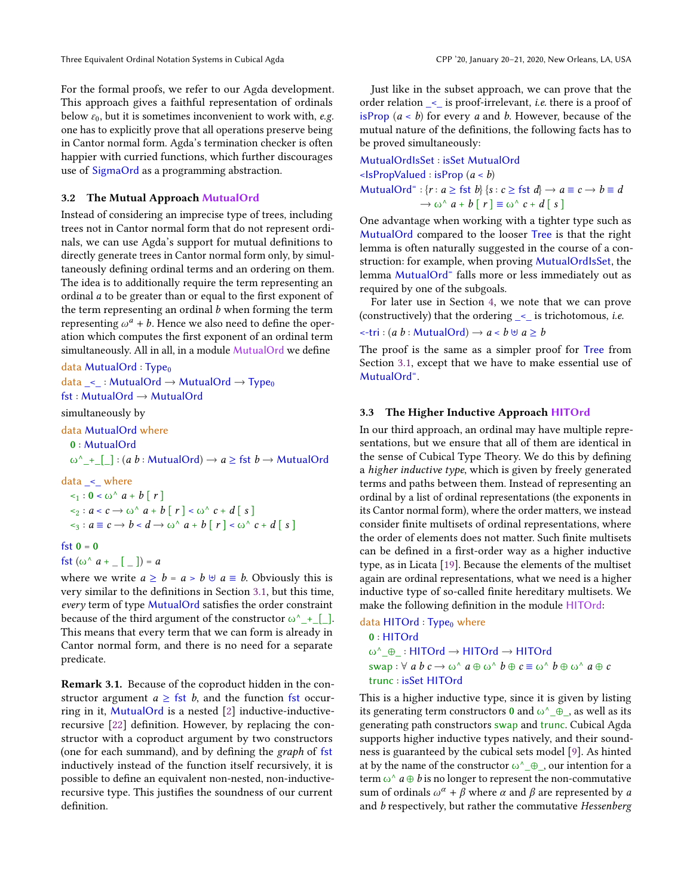For the formal proofs, we refer to our Agda development. This approach gives a faithful representation of ordinals below  $\varepsilon_0$ , but it is sometimes inconvenient to work with, *e.g.* one has to explicitly prove that all operations preserve being in Cantor normal form. Agda's termination checker is often happier with curried functions, which further discourages use of SigmaOrd as a programming abstraction.

#### <span id="page-4-0"></span>3.2 The Mutual Approach MutualOrd

Instead of considering an imprecise type of trees, including trees not in Cantor normal form that do not represent ordinals, we can use Agda's support for mutual definitions to directly generate trees in Cantor normal form only, by simultaneously defining ordinal terms and an ordering on them. The idea is to additionally require the term representing an ordinal a to be greater than or equal to the first exponent of the term representing an ordinal  $b$  when forming the term representing  $\omega^a + b$ . Hence we also need to define the operation which computes the first exponent of an ordinal term simultaneously. All in all, in a module MutualOrd we define

```
data MutualOrd : Type_0data _<_ : MutualOrd \rightarrow MutualOrd \rightarrow Type<sub>0</sub>
fst : MutualOrd → MutualOrd
simultaneously by
data MutualOrd where
```
0 : MutualOrd

 $\omega^{\wedge}$  + [ ] : (a b : MutualOrd)  $\rightarrow$  a  $\geq$  fst  $b \rightarrow$  MutualOrd

 $data <$  where

```
\leq_1 : 0 \leq \omega^{\wedge} a + b \mid r\langle s_2 : a \langle c \rangle \rightarrow \omega^{\wedge} a + b [r] \langle \omega^{\wedge} c + d [s] \rangle\leq_3 : a \equiv c \rightarrow b < d \rightarrow \omega^{\wedge} a + b \mid r \mid < \omega^{\wedge} c + d \mid s \mid
```

```
fst 0 = 0
```

```
fst (\omega^{\wedge} a + [\ ] ) = a
```
where we write  $a \ge b = a > b \oplus a \equiv b$ . Obviously this is very similar to the definitions in Section [3.1,](#page-3-0) but this time, every term of type MutualOrd satisfies the order constraint because of the third argument of the constructor  $\omega^{\wedge}$  + [\_]. This means that every term that we can form is already in Cantor normal form, and there is no need for a separate predicate.

Remark 3.1. Because of the coproduct hidden in the constructor argument  $a \geq$  fst b, and the function fst occurring in it, MutualOrd is a nested [\[2\]](#page-12-8) inductive-inductiverecursive [\[22\]](#page-13-7) definition. However, by replacing the constructor with a coproduct argument by two constructors (one for each summand), and by defining the graph of fst inductively instead of the function itself recursively, it is possible to define an equivalent non-nested, non-inductiverecursive type. This justifies the soundness of our current definition.

Just like in the subset approach, we can prove that the order relation \_<\_ is proof-irrelevant, i.e. there is a proof of isProp  $(a < b)$  for every a and b. However, because of the mutual nature of the definitions, the following facts has to be proved simultaneously:

MutualOrdIsSet : isSet MutualOrd  $\leq$ IsPropValued : isProp (*a*  $\leq$  *b*) MutualOrd<sup>=</sup>: { $r : a \geq \text{fst } b$ } { $s : c \geq \text{fst } d$ }  $\rightarrow a \equiv c \rightarrow b \equiv d$  $\rightarrow \omega^{\wedge} a + b [r] \equiv \omega^{\wedge} c + d [s]$ 

One advantage when working with a tighter type such as MutualOrd compared to the looser Tree is that the right lemma is often naturally suggested in the course of a construction: for example, when proving MutualOrdIsSet, the lemma MutualOrd<sup>=</sup> falls more or less immediately out as required by one of the subgoals.

For later use in Section [4,](#page-7-0) we note that we can prove (constructively) that the ordering  $\leq$  is trichotomous, *i.e.* 

$$
\textsf{--tri}: (a b : \textsf{MutualOrd}) \rightarrow a \textsf{--} b \oplus a \geq b
$$

The proof is the same as a simpler proof for Tree from Section [3.1,](#page-3-0) except that we have to make essential use of MutualOrd<sup>=</sup>.

#### <span id="page-4-1"></span>3.3 The Higher Inductive Approach HITOrd

In our third approach, an ordinal may have multiple representations, but we ensure that all of them are identical in the sense of Cubical Type Theory. We do this by defining a higher inductive type, which is given by freely generated terms and paths between them. Instead of representing an ordinal by a list of ordinal representations (the exponents in its Cantor normal form), where the order matters, we instead consider finite multisets of ordinal representations, where the order of elements does not matter. Such finite multisets can be defined in a first-order way as a higher inductive type, as in Licata [\[19\]](#page-13-13). Because the elements of the multiset again are ordinal representations, what we need is a higher inductive type of so-called finite hereditary multisets. We make the following definition in the module HITOrd:

```
data HITOrd:Type<sub>0</sub> where
   0 : HITOrd
   ω^_⊕_ : HITOrd → HITOrd → HITOrd
   swap : \forall a b c \rightarrow \omega^{\wedge} a \oplus \omega^{\wedge} b \oplus c \equiv \omega^{\wedge} b \oplus \omega^{\wedge} a \oplus c
   trunc : isSet HITOrd
```
This is a higher inductive type, since it is given by listing its generating term constructors 0 and  $\omega^{\wedge}$   $\oplus$  as well as its generating path constructors swap and trunc. Cubical Agda supports higher inductive types natively, and their soundness is guaranteed by the cubical sets model [\[9\]](#page-12-7). As hinted at by the name of the constructor  $\omega^{\wedge} \mathcal{A}$ , our intention for a term  $\omega^{\wedge} a \oplus b$  is no longer to represent the non-commutative sum of ordinals  $\omega^{\alpha} + \beta$  where  $\alpha$  and  $\beta$  are represented by  $\alpha$ and *b* respectively, but rather the commutative Hessenberg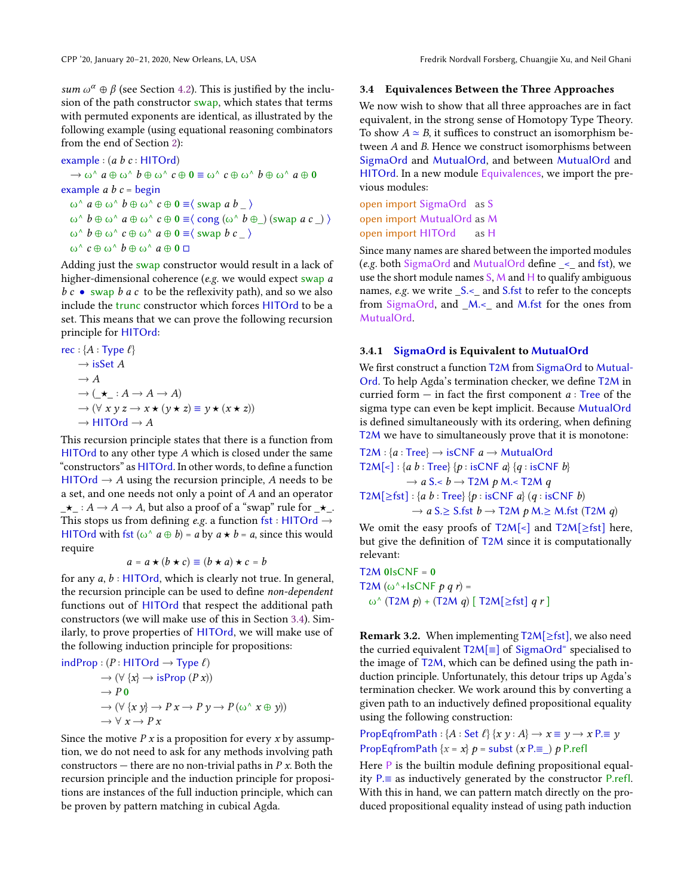sum  $\omega^{\alpha} \oplus \beta$  (see Section [4.2\)](#page-8-0). This is justified by the inclusion of the path constructor swap, which states that terms with permuted exponents are identical, as illustrated by the following example (using equational reasoning combinators from the end of Section [2\)](#page-1-3):

example : 
$$
(a \ b \ c : \text{HITOrd})
$$
  
\n $\rightarrow \omega^{\wedge} a \oplus \omega^{\wedge} b \oplus \omega^{\wedge} c \oplus 0 \equiv \omega^{\wedge} c \oplus \omega^{\wedge} b \oplus \omega^{\wedge} a \oplus 0$   
\nexample  $a \ b \ c = \text{begin}$   
\n $\omega^{\wedge} a \oplus \omega^{\wedge} b \oplus \omega^{\wedge} c \oplus 0 \equiv \langle \text{ swap } a \ b \rangle$   
\n $\omega^{\wedge} b \oplus \omega^{\wedge} a \oplus \omega^{\wedge} c \oplus 0 \equiv \langle \text{cong } (\omega^{\wedge} b \oplus \rangle) (\text{swap } a \ c \rangle)$   
\n $\omega^{\wedge} b \oplus \omega^{\wedge} c \oplus \omega^{\wedge} a \oplus 0 \equiv \langle \text{swap } b \ c \rangle$   
\n $\omega^{\wedge} c \oplus \omega^{\wedge} b \oplus \omega^{\wedge} a \oplus 0 \sqsupset$ 

Adding just the swap constructor would result in a lack of higher-dimensional coherence (e.g. we would expect swap a  $b c \bullet$  swap  $b a c$  to be the reflexivity path), and so we also include the trunc constructor which forces HITOrd to be a set. This means that we can prove the following recursion principle for HITOrd:

rec : {*A* : Type *ℓ*}  
\n→ isSet *A*  
\n→ *A*  
\n→ (
$$
\star
$$
 : *A* → *A* → *A*)  
\n→ ( $\forall$  *x y z* → *x* ★ (*y* ★ *z*)  $\equiv$  *y* ★ (*x*★ *z*))  
\n→ HITOrd → *A*

This recursion principle states that there is a function from HITOrd to any other type A which is closed under the same "constructors" as HITOrd. In other words, to define a function HITOrd  $\rightarrow$  A using the recursion principle, A needs to be a set, and one needs not only a point of A and an operator  $\star$ <sub>-</sub>:  $A \to A \to A$ , but also a proof of a "swap" rule for  $\star$ <sub>-</sub>. This stops us from defining e.g. a function fst : HITOrd  $\rightarrow$ HITOrd with fst  $(\omega^{\wedge} a \oplus b) = a$  by  $a \star b = a$ , since this would require

$$
a = a \star (b \star c) \equiv (b \star a) \star c = b
$$

 $a = a \star (b \star c) \equiv (b \star a) \star c = b$ <br>for any  $a, b$  : HITOrd, which is clearly not true. In general, the recursion principle can be used to define non-dependent functions out of HITOrd that respect the additional path constructors (we will make use of this in Section [3.4\)](#page-5-0). Similarly, to prove properties of HITOrd, we will make use of the following induction principle for propositions:

$$
indProp : (P : HITOrd \rightarrow Type \ell)
$$
  
\n
$$
\rightarrow (\forall \{x\} \rightarrow isProp (P x))
$$
  
\n
$$
\rightarrow PQ
$$
  
\n
$$
\rightarrow (\forall \{x y\} \rightarrow Px \rightarrow Py \rightarrow P (\omega \land x \oplus y))
$$
  
\n
$$
\rightarrow \forall x \rightarrow Px
$$

Since the motive  $P x$  is a proposition for every  $x$  by assumption, we do not need to ask for any methods involving path constructors — there are no non-trivial paths in  $P x$ . Both the recursion principle and the induction principle for propositions are instances of the full induction principle, which can be proven by pattern matching in cubical Agda.

#### <span id="page-5-0"></span>3.4 Equivalences Between the Three Approaches

We now wish to show that all three approaches are in fact equivalent, in the strong sense of Homotopy Type Theory. To show  $A \simeq B$ , it suffices to construct an isomorphism between A and B. Hence we construct isomorphisms between SigmaOrd and MutualOrd, and between MutualOrd and HITOrd. In a new module Equivalences, we import the previous modules:

open import SigmaOrd as S open import MutualOrd as M open import HITOrd as H

Since many names are shared between the imported modules (e.g. both SigmaOrd and MutualOrd define \_<\_ and fst), we use the short module names  $S$ , M and H to qualify ambiguous names, e.g. we write  $S \le$  and S.fst to refer to the concepts from SigmaOrd, and \_M.<\_ and M.fst for the ones from MutualOrd.

#### 3.4.1 SigmaOrd is Equivalent to MutualOrd

We first construct a function T2M from SigmaOrd to Mutual-Ord. To help Agda's termination checker, we define T2M in curried form  $-$  in fact the first component  $a$  : Tree of the sigma type can even be kept implicit. Because MutualOrd is defined simultaneously with its ordering, when defining T2M we have to simultaneously prove that it is monotone:

T2M : {a : Tree} → isCNF a → MutualOrd T2M[<] : {a b : Tree} {p : isCNF a} {q : isCNF b} → a S.< b → T2M p M.< T2M q T2M[≥fst] : {a b : Tree} {p : isCNF a} (q : isCNF b) → a S.≥ S.fst b → T2M p M.≥ M.fst (T2M q)

We omit the easy proofs of  $T2M\leq$  and  $T2M\geq$  fst] here, but give the definition of T2M since it is computationally relevant:

 $T2M$  0lsCNF = 0 T2M ( $\omega$ <sup> $\wedge$ </sup>+IsCNF p q r) = ω<sup> $\wedge$ </sup> (T2M *p*) + (T2M *q*) [ T2M[ $\geq$ fst] *q r* ]

**Remark 3.2.** When implementing  $T2M[\geq fst]$ , we also need the curried equivalent T2M[≡] of SigmaOrd<sup>=</sup> specialised to the image of  $T2M$ , which can be defined using the path induction principle. Unfortunately, this detour trips up Agda's termination checker. We work around this by converting a given path to an inductively defined propositional equality using the following construction:

PropEqfromPath :  ${A : Set \ell}$   ${x \gamma : A} \rightarrow x \equiv y \rightarrow x P \equiv y$ PropEqfromPath  $\{x = x\}$   $p =$  subst  $(x P. \equiv ) p$  P.refl

Here P is the builtin module defining propositional equality  $P =$  as inductively generated by the constructor P. refl. With this in hand, we can pattern match directly on the produced propositional equality instead of using path induction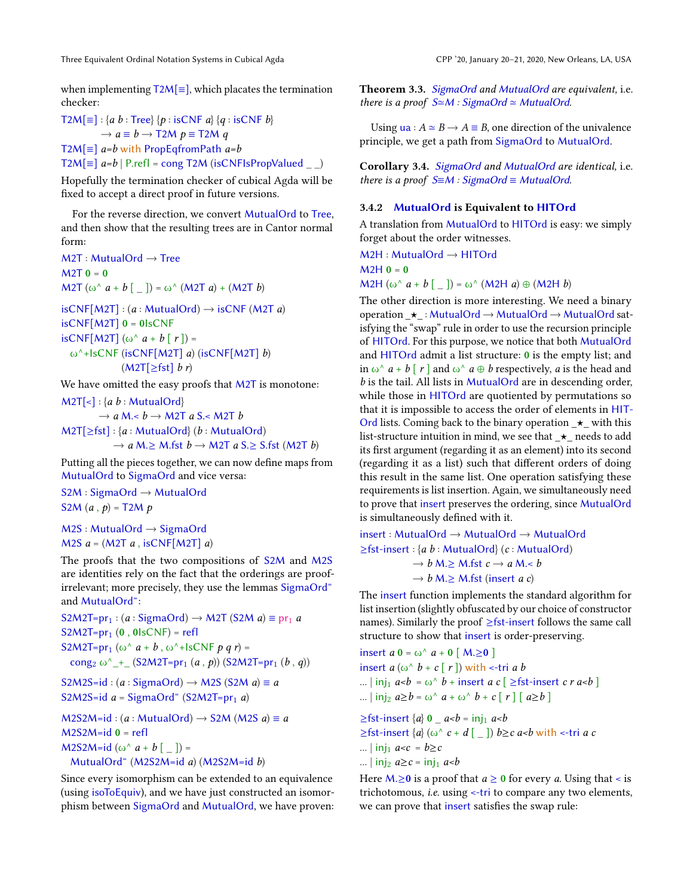when implementing T2M[≡], which placates the termination checker:

 $T2M[\equiv] : \{a \; b : \text{Tree}\}\{p : \text{isCNF } a\}\{q : \text{isCNF } b\}$  $\rightarrow a \equiv b \rightarrow T2M p \equiv T2M q$ T2M[ $\equiv$ ] a=b with PropEqfromPath a=b  $T2M[\equiv]$  a=b | P.refl = cong T2M (isCNFIsPropValued )

Hopefully the termination checker of cubical Agda will be fixed to accept a direct proof in future versions.

For the reverse direction, we convert MutualOrd to Tree, and then show that the resulting trees are in Cantor normal form:

 $M2T$  : MutualOrd  $\rightarrow$  Tree  $M2T = 0$  $M2T$  (ω<sup> $\land$ </sup> a + b [ ]) = ω<sup> $\land$ </sup> (M2T a) + (M2T b)

 $isCNF[M2T]$ : (a: MutualOrd)  $\rightarrow$  isCNF (M2T a)  $isCNF[M2T]$  0 = 0lsCNF isCNF[M2T]  $(\omega^{\wedge} a + b \mid r)$  = ω<sup> $\wedge$ </sup>+lsCNF (isCNF[M2T] a) (isCNF[M2T] b)  $(M2T[\geq fst]$  b r)

We have omitted the easy proofs that M2T is monotone:

 $M2T[\leq]$ : {a b : MutualOrd}

 $\rightarrow$  a M.< b  $\rightarrow$  M2T a S.< M2T b  $M2T[\geq fst]: \{a: MutualOrd\}$  (b: MutualOrd)  $\rightarrow$  a M. $\geq$  M.fst  $b \rightarrow$  M2T a S. $\geq$  S.fst (M2T b)

Putting all the pieces together, we can now define maps from MutualOrd to SigmaOrd and vice versa:

S2M : SigmaOrd → MutualOrd S2M  $(a, p)$  = T2M  $p$ 

M2S : MutualOrd → SigmaOrd M2S  $a = (M2T a, iSCNF[M2T] a)$ 

The proofs that the two compositions of S2M and M2S are identities rely on the fact that the orderings are proofirrelevant; more precisely, they use the lemmas SigmaOrd<sup>=</sup> and MutualOrd<sup>=</sup>:

 $S2M2T=pr_1$ : (a : SigmaOrd)  $\rightarrow M2T$  (S2M a)  $\equiv pr_1 a$  $S2M2T=pr_1 (0, 0lsCNF) = refl$ S2M2T=pr<sub>1</sub> (ω<sup> $\wedge$ </sup> a + b, ω<sup> $\wedge$ </sup>+lsCNF p q r) = cong<sub>2</sub> ω<sup> $\wedge$ </sup> + (S2M2T=pr<sub>1</sub> (a, p)) (S2M2T=pr<sub>1</sub> (b, q))

```
S2M2S=id : (a : SigmaOrd) \rightarrow M2S (S2M a) \equiv a
S2M2S=id a = SigmaOrd<sup>=</sup> (S2M2T=pr<sub>1</sub> a)
```

```
M2S2M=id : (a : MutualOrd) \rightarrow S2M (M2S a) \equiv aM2S2M=id 0 = reflM2S2M=id (ω<sup>\wedge</sup> a + b [ _ ]) =
  MutualOrd<sup>=</sup> (M2S2M=id a) (M2S2M=id b)
```
Since every isomorphism can be extended to an equivalence (using isoToEquiv), and we have just constructed an isomorphism between SigmaOrd and MutualOrd, we have proven: Theorem 3.3. SigmaOrd and MutualOrd are equivalent, i.e. there is a proof  $S \cong M$  : SigmaOrd  $\simeq$  MutualOrd.

Using  $ua : A \simeq B \rightarrow A \equiv B$ , one direction of the univalence principle, we get a path from SigmaOrd to MutualOrd.

Corollary 3.4. SigmaOrd and MutualOrd are identical, i.e. there is a proof  $S \equiv M : SigmaOrd \equiv MutualOrd$ .

#### 3.4.2 MutualOrd is Equivalent to HITOrd

A translation from MutualOrd to HITOrd is easy: we simply forget about the order witnesses.

```
M2H : MutualOrd → HITOrd
```
 $M2H$   $0 = 0$ 

M2H  $(\omega^{\wedge} a + b \lceil \underline{\hspace{1em}})$  =  $\omega^{\wedge}$  (M2H a)  $\oplus$  (M2H b)

The other direction is more interesting. We need a binary operation \_⋆\_ : MutualOrd <sup>→</sup> MutualOrd <sup>→</sup> MutualOrd satisfying the "swap" rule in order to use the recursion principle of HITOrd. For this purpose, we notice that both MutualOrd and HITOrd admit a list structure: 0 is the empty list; and in  $\omega^{\wedge} a + b \upharpoonright r$  and  $\omega^{\wedge} a \oplus b$  respectively, a is the head and b is the tail. All lists in MutualOrd are in descending order, while those in HITOrd are quotiented by permutations so that it is impossible to access the order of elements in HIT-Ord lists. Coming back to the binary operation  $\star$  with this list-structure intuition in mind, we see that  $\star$  needs to add its first argument (regarding it as an element) into its second (regarding it as a list) such that different orders of doing this result in the same list. One operation satisfying these requirements is list insertion. Again, we simultaneously need to prove that insert preserves the ordering, since MutualOrd is simultaneously defined with it.

insert : MutualOrd → MutualOrd → MutualOrd  $\geq$ fst-insert : {a b : MutualOrd} (c : MutualOrd)  $\rightarrow$  b M. $\geq$  M.fst  $c \rightarrow a$  M. $\lt b$  $\rightarrow$  b M. $\geq$  M.fst (insert a c)

The insert function implements the standard algorithm for list insertion (slightly obfuscated by our choice of constructor names). Similarly the proof ≥fst-insert follows the same call structure to show that insert is order-preserving.

insert  $a \mathbf{0} = \omega^{\wedge} a + \mathbf{0} [\mathbf{M} \ge \mathbf{0}]$ insert  $a(\omega^{\wedge} b + c \mid r \mid)$  with  $\le$ -tri a b ...  $\vert \text{inj}_1 \text{ } a \text{-} b = \omega^{\text{}} \text{ } b + \text{insert } a \text{ } c \text{ } \vert \geq \text{ } f \text{st-insert } c \text{ } r \text{ } a \text{-} b \text{ } \vert$ ...  $\left| \text{inj}_2 \right| a \geq b = \omega^{\wedge} a + \omega^{\wedge} b + c \left[ r \right] \left[ a \geq b \right]$ 

 $\geq$ fst-insert  $\{a\}$  0  $\leq$  *a<br/>-b* = inj<sub>1</sub> *a<br/>b*  $\geq$ fst-insert  $\{a\}$  (ω^ c + d [ \_ ])  $b \geq c$  a<br/> $\leq$  with <-tri a c ...  $\vert \text{inj}_1 \text{ a} < c = b \geq c$ ...  $\ln i_2 a \geq c = \ln i_1 a < b$ 

Here  $M \ge 0$  is a proof that  $a \ge 0$  for every a. Using that < is trichotomous, i.e. using <-tri to compare any two elements, we can prove that insert satisfies the swap rule: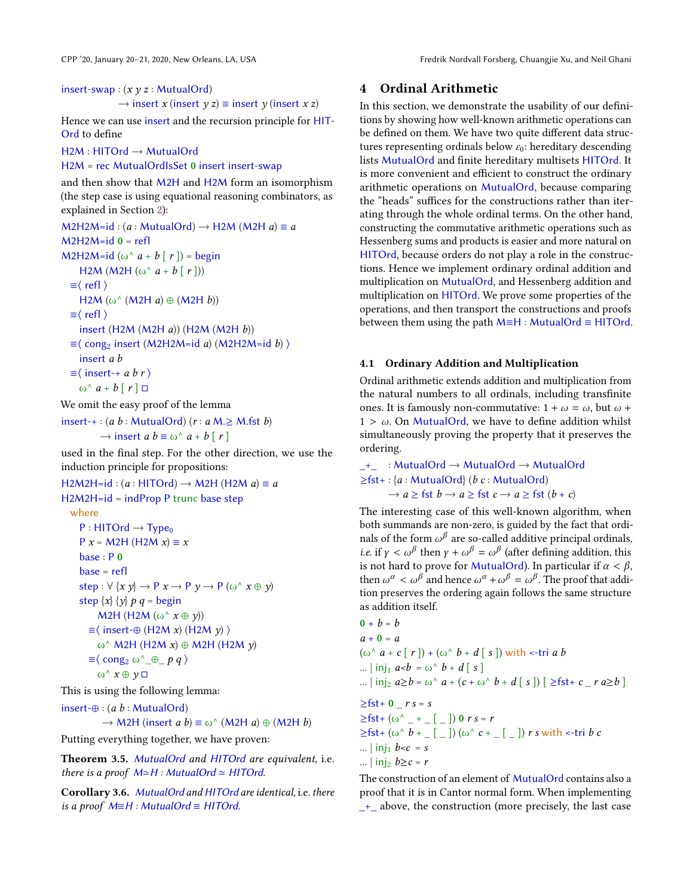insert-swap :  $(x y z : MutualOrd)$ 

 $\rightarrow$  insert x (insert y z)  $\equiv$  insert y (insert x z)

Hence we can use insert and the recursion principle for HIT-Ord to define

H2M : HITOrd → MutualOrd

H2M = rec MutualOrdIsSet 0 insert insert-swap

and then show that M2H and H2M form an isomorphism (the step case is using equational reasoning combinators, as explained in Section [2\)](#page-1-3):

 $M2H2M=id$  : (a : MutualOrd)  $\rightarrow$  H2M (M2H a)  $\equiv a$  $M2H2M=id 0 = refl$ M2H2M=id (ω<sup> $\wedge$ </sup> a + b [ r ]) = begin H2M (M2H ( $\omega$ <sup> $\wedge$ </sup>  $a + b$  [  $r$  ]))  $\equiv \langle \text{refl} \rangle$ H2M ( $\omega$ <sup> $\wedge$ </sup> (M2H a)  $\oplus$  (M2H b))  $\equiv \langle$  refl  $\rangle$ insert (H2M (M2H a)) (H2M (M2H b))  $\equiv$  (cong<sub>2</sub> insert (M2H2M=id a) (M2H2M=id b)) insert a b  $\equiv$  \ insert-+ a b r \  $\omega^{\wedge} a + b \mid r \mid \Box$ 

We omit the easy proof of the lemma

insert-+ : (*a b* : MutualOrd) (*r* : *a* M.≥ M.fst *b*)  
\n→ insert *a b* 
$$
\equiv \omega^{\wedge} a + b [r]
$$

used in the final step. For the other direction, we use the induction principle for propositions:

```
H2M2H=id : (a : HITOrd) \rightarrow M2H (H2M a) \equiv aH2M2H=id = indProp P trunc base step
  where
     P : HITOrd \rightarrow Type_0P x = M2H (H2M x) \equiv xbase : P 0
     base = refl
     step : \forall \{x \ y\} \rightarrow P \ x \rightarrow P \ y \rightarrow P \ (\omega^{\wedge} \ x \oplus y)step \{x\} \{y\} p q = begin
           M2H (H2M (ω<sup>\land</sup> x \oplus y))
        \equiv \langle insert-\oplus (H2M x) (H2M y) \rangleω^ M2H (H2M x) ⊕ M2H (H2M y)
        \equiv \langle \text{cong}_2 \omega^{\wedge} \oplus p q \rangleω<sup>^</sup> x \oplus y \Box
```
This is using the following lemma:

insert-⊕ :  $(a b : MutualOrd)$  $\rightarrow$  M2H (insert a b)  $\equiv$  ω^ (M2H a)  $\oplus$  (M2H b)

Putting everything together, we have proven:

Theorem 3.5. MutualOrd and HITOrd are equivalent, i.e. there is a proof  $M \cong H$ : MutualOrd  $\simeq H$ ITOrd.

Corollary 3.6. MutualOrd and HITOrd are identical, i.e. there is a proof  $M≡H$  : MutualOrd  $\equiv$  HITOrd.

## <span id="page-7-0"></span>4 Ordinal Arithmetic

In this section, we demonstrate the usability of our definitions by showing how well-known arithmetic operations can be defined on them. We have two quite different data structures representing ordinals below  $\varepsilon_0$ : hereditary descending lists MutualOrd and finite hereditary multisets HITOrd. It is more convenient and efficient to construct the ordinary arithmetic operations on MutualOrd, because comparing the "heads" suffices for the constructions rather than iterating through the whole ordinal terms. On the other hand, constructing the commutative arithmetic operations such as Hessenberg sums and products is easier and more natural on HITOrd, because orders do not play a role in the constructions. Hence we implement ordinary ordinal addition and multiplication on MutualOrd, and Hessenberg addition and multiplication on HITOrd. We prove some properties of the operations, and then transport the constructions and proofs between them using the path  $M=H : MutualOrd \equiv HITOrd.$ 

#### 4.1 Ordinary Addition and Multiplication

Ordinal arithmetic extends addition and multiplication from the natural numbers to all ordinals, including transfinite ones. It is famously non-commutative:  $1 + \omega = \omega$ , but  $\omega$  +  $1 > \omega$ . On MutualOrd, we have to define addition whilst simultaneously proving the property that it preserves the ordering.

\_+\_ : MutualOrd → MutualOrd → MutualOrd  $\geq$ fst+: {a : MutualOrd} (b c : MutualOrd)  $\rightarrow a \geq$  fst  $b \rightarrow a \geq$  fst  $c \rightarrow a \geq$  fst  $(b + c)$ 

The interesting case of this well-known algorithm, when both summands are non-zero, is guided by the fact that ordinals of the form  $\omega^\beta$  are so-called additive principal ordinals, *i.e.* if  $\gamma < \omega^{\beta}$  then  $\gamma + \omega^{\beta} = \omega^{\beta}$  (after defining addition, this is not hard to prove for MutualOrd). In particular if  $\alpha < \beta$ is not hard to prove for MutualOrd). In particular if  $\alpha < \beta$ , then  $\omega^{\alpha} < \omega^{\beta}$  and hence  $\omega^{\alpha} + \omega^{\beta} = \omega^{\beta}$ . The proof that addition preserves the ordering again follows the same structure tion preserves the ordering again follows the same structure as addition itself.

$$
0 + b = b
$$
  
\n
$$
a + 0 = a
$$
  
\n
$$
(\omega^{\wedge} a + c[r]) + (\omega^{\wedge} b + d[s]) \text{ with } < -\text{tri } a b
$$
  
\n
$$
\dots | \text{ inj}_1 a < b = \omega^{\wedge} b + d[s]
$$
  
\n
$$
\dots | \text{ inj}_2 a \ge b = \omega^{\wedge} a + (c + \omega^{\wedge} b + d[s]) [\ge \text{fst} + c \cdot a \ge b]
$$
  
\n
$$
\ge \text{fst} + 0 \cdot rs = s
$$
  
\n
$$
\ge \text{fst} + (\omega^{\wedge} - + \dots [-]) 0 rs = r
$$
  
\n
$$
\ge \text{fst} + (\omega^{\wedge} b + \dots [-]) (\omega^{\wedge} c + \dots [-]) rs \text{ with } < -\text{tri } b c
$$
  
\n
$$
\dots | \text{ inj}_1 b < c = s
$$
  
\n
$$
\dots | \text{ inj}_2 b \ge c = r
$$

The construction of an element of MutualOrd contains also a proof that it is in Cantor normal form. When implementing \_+\_ above, the construction (more precisely, the last case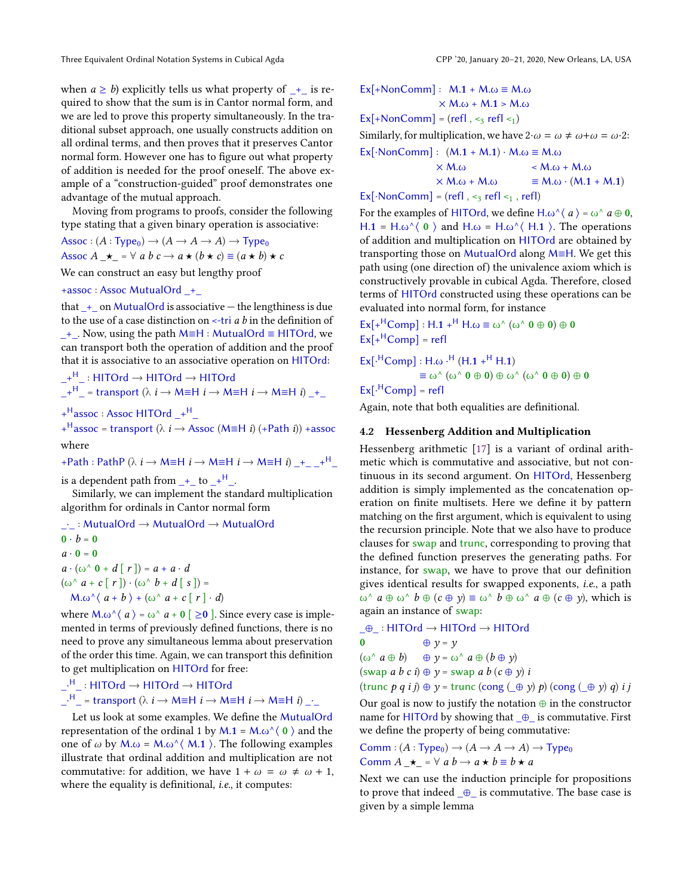when  $a \ge b$ ) explicitly tells us what property of  $+$  is required to show that the sum is in Cantor normal form, and we are led to prove this property simultaneously. In the traditional subset approach, one usually constructs addition on all ordinal terms, and then proves that it preserves Cantor normal form. However one has to figure out what property of addition is needed for the proof oneself. The above example of a "construction-guided" proof demonstrates one advantage of the mutual approach.

Moving from programs to proofs, consider the following type stating that a given binary operation is associative:

 $Assoc : (A : Type_0) \rightarrow (A \rightarrow A \rightarrow A) \rightarrow Type_0$ Assoc  $A \rightarrow \bullet$  =  $\forall$  a b  $c \rightarrow a \star (b \star c) \equiv (a \star b) \star c$ 

We can construct an easy but lengthy proof

+assoc : Assoc MutualOrd \_+\_

that  $+$  on MutualOrd is associative — the lengthiness is due to the use of a case distinction on  $\leftarrow$ -tri  $a$   $b$  in the definition of \_+\_. Now, using the path M≡H : MutualOrd ≡ HITOrd, we can transport both the operation of addition and the proof that it is associative to an associative operation on HITOrd:

 $+$ <sup>H</sup> : HITOrd  $\rightarrow$  HITOrd  $\rightarrow$  HITOrd  $\perp$ <sup>H</sup>  $_$  = transport ( $\lambda$  *i*  $\rightarrow$  M=H *i*  $\rightarrow$  M=H *i*  $\rightarrow$  M=H *i*)  $\perp$ <sup>1</sup>

+ <sup>H</sup>assoc : Assoc HITOrd \_+ <sup>H</sup>\_

+<sup>H</sup>assoc = transport ( $\lambda$  *i*  $\rightarrow$  Assoc (M=H *i*) (+Path *i*)) +assoc where

+Path : PathP ( $\lambda$  i  $\rightarrow$  M=H i  $\rightarrow$  M=H i  $\rightarrow$  M=H i)  $+$   $+$ <sup>H</sup>

is a dependent path from  $+$  to  $+$ <sup>H</sup>.

Similarly, we can implement the standard multiplication algorithm for ordinals in Cantor normal form

\_·\_ : MutualOrd → MutualOrd → MutualOrd  $\mathbf{0} \cdot \mathbf{b} = \mathbf{0}$  $a \cdot 0 = 0$  $a \cdot (\omega^{\wedge} 0 + d \mid r) = a + a \cdot d$  $(\omega^{\wedge} a + c \nvert r \rvert) \cdot (\omega^{\wedge} b + d \nvert s \rvert) =$  $M.\omega^{\wedge}$   $\langle a+b \rangle + (\omega^{\wedge} a+c$  [ r ] · d)

where  $M.\omega^{\wedge} \langle a \rangle = \omega^{\wedge} a + 0$  [  $\geq 0$  ]. Since every case is implemented in terms of previously defined functions, there is no need to prove any simultaneous lemma about preservation of the order this time. Again, we can transport this definition to get multiplication on HITOrd for free:

 $\lrcorner^{\mathsf{H}}\lrcorner$  : HITOrd  $\rightarrow$  HITO $\mathsf{rd}$   $\rightarrow$  HITO $\mathsf{rd}$  $\lfloor \frac{H}{I} \rfloor$  = transport ( $\lambda$  *i*  $\rightarrow$  M≡H *i*  $\rightarrow$  M≡H *i*)  $\rightarrow$   $\rightarrow$ 

Let us look at some examples. We define the MutualOrd representation of the ordinal 1 by  $M.1 = M.\omega^{\wedge}$  (0) and the one of  $\omega$  by  $M.\omega = M.\omega^{\wedge} \langle M.1 \rangle$ . The following examples illustrate that ordinal addition and multiplication are not commutative: for addition, we have  $1 + \omega = \omega \neq \omega + 1$ , where the equality is definitional, *i.e.*, it computes:

$$
Ex[+NonComm]: M.1 + M.\omega \equiv M.\omega
$$
  
 
$$
\times M.\omega + M.1 > M.\omega
$$

 $Ex[+NonComm] = (refl, <sub>3</sub> refl <sub>1</sub>)$ 

Similarly, for multiplication, we have  $2 \cdot \omega = \omega \neq \omega + \omega = \omega \cdot 2$ :  $Ex[\cdot\text{NonComm}] : (M.1 + M.1) \cdot M.\omega \equiv M.\omega$ 

$$
\times M.\omega \qquad \times M.\omega \qquad \times M.\omega \qquad \times M.\omega
$$
  
×  $M.\omega$  +  $M.\omega$   
×  $M.\omega + M.\omega$   
=  $M.\omega \cdot (M.1 + M.1)$ 

 $Ex[\cdot\text{NonComm}] = (refl, \leq 3, refl \leq 1, refl)$ 

For the examples of HITOrd, we define H. $\omega^{\wedge}$  (  $a$  ) =  $\omega^{\wedge}$   $a \oplus 0$ , H.1 = H.ω<sup> $\land$ </sup> ( 0  $\land$  and H.ω = H.ω $\land$  ( H.1  $\land$ ). The operations of addition and multiplication on HITOrd are obtained by transporting those on MutualOrd along M≡H. We get this path using (one direction of) the univalence axiom which is constructively provable in cubical Agda. Therefore, closed terms of HITOrd constructed using these operations can be evaluated into normal form, for instance

 $\text{Ex}[\text{+}^{\text{H}}\text{Comp}] : \text{H}.1 + ^{\text{H}}\text{H}.\omega \equiv \omega^{\wedge} (\omega^{\wedge} 0 \oplus 0) \oplus 0$  $Ex[+<sup>H</sup>Comp] = ref$ 

$$
Ex[·HComp]: H. \omega ·H (H.1 +H H.1)
$$

$$
\equiv \omega^{\wedge} (\omega^{\wedge} 0 \oplus 0) \oplus \omega^{\wedge} (\omega^{\wedge} 0 \oplus 0) \oplus 0
$$
  
Ex[<sup>H</sup>Comp] = refI

Again, note that both equalities are definitional.

#### <span id="page-8-0"></span>4.2 Hessenberg Addition and Multiplication

Hessenberg arithmetic [\[17\]](#page-13-14) is a variant of ordinal arithmetic which is commutative and associative, but not continuous in its second argument. On HITOrd, Hessenberg addition is simply implemented as the concatenation operation on finite multisets. Here we define it by pattern matching on the first argument, which is equivalent to using the recursion principle. Note that we also have to produce clauses for swap and trunc, corresponding to proving that the defined function preserves the generating paths. For instance, for swap, we have to prove that our definition gives identical results for swapped exponents, i.e., a path  $ω^{\wedge} a ⊕ ω^{\wedge} b ⊕ (c ⊕ y) ≡ ω^{\wedge} b ⊕ ω^{\wedge} a ⊕ (c ⊕ y)$ , which is again an instance of swap:

 $\Box \oplus \Box$ : HITOrd  $\rightarrow$  HITOrd  $\rightarrow$  HITOrd 0  $\oplus$  y = y  $(\omega^{\wedge} a \oplus b) \oplus y = \omega^{\wedge} a \oplus (b \oplus y)$ (swap a b c i)  $\oplus$  y = swap a b (c  $\oplus$  y) i (trunc p q i j)  $\oplus$  y = trunc (cong  $(\oplus \gamma)$  p) (cong  $(\oplus \gamma)$  q) i j

Our goal is now to justify the notation  $\oplus$  in the constructor name for HITOrd by showing that  $\oplus$  is commutative. First we define the property of being commutative:

Comm :  $(A : Type_0) \rightarrow (A \rightarrow A \rightarrow A) \rightarrow Type_0$ Comm  $A \star = \forall a b \rightarrow a \star b \equiv b \star a$ 

Next we can use the induction principle for propositions to prove that indeed  $_{\oplus}$  is commutative. The base case is given by a simple lemma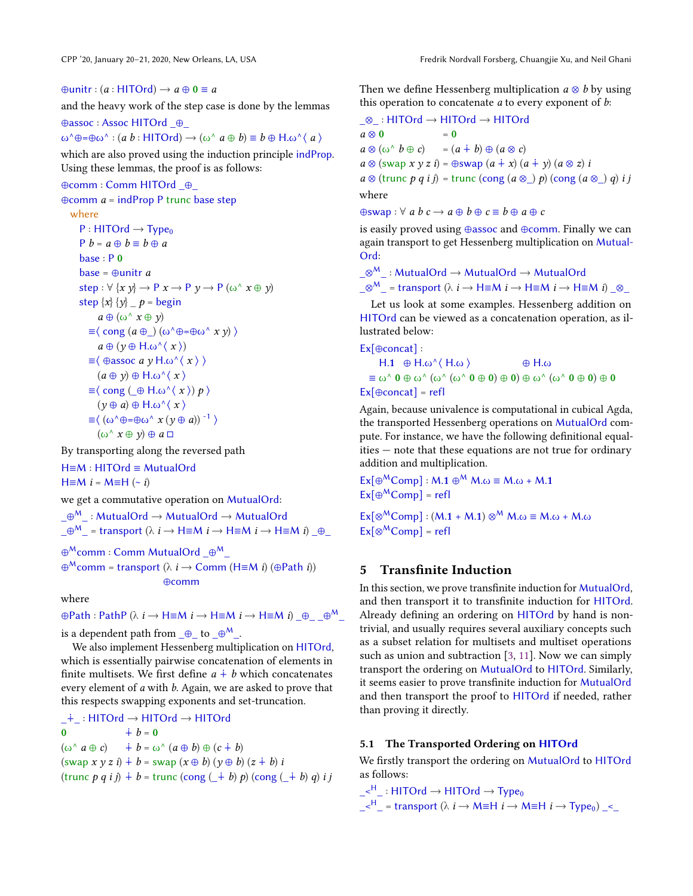$\oplus$ unitr : (a : HITOrd)  $\rightarrow$  a  $\oplus$  0  $\equiv$  a

and the heavy work of the step case is done by the lemmas

⊕assoc : Assoc HITOrd \_⊕\_  $\omega^{\wedge} \oplus = \oplus \omega^{\wedge} : (a \ b : \text{HITOrd}) \rightarrow (\omega^{\wedge} \ a \oplus b) \equiv b \oplus \text{H} \ldots \wedge \langle a \rangle$ 

which are also proved using the induction principle indProp. Using these lemmas, the proof is as follows:

#### ⊕comm : Comm HITOrd \_⊕\_

 $\oplus$ comm  $a = \text{indProp } P$  trunc base step

```
where
    P : HITOrd \rightarrow Type_0P b = a \oplus b \equiv b \oplus abase : P 0
    base = ⊕unitr astep : \forall \{x \ y\} \rightarrow P \ x \rightarrow P \ y \rightarrow P \ (\omega^{\wedge} \ x \oplus y)step \{x\} \{y\} \emptyset p = begin
             a \oplus (\omega \wedge x \oplus y)\equiv \langle cong (a \oplus ) (\omega^{\wedge} \oplus = \oplus \omega^{\wedge} x \nu) \ranglea \oplus (\nu \oplus H \omega^{\wedge} \langle x \rangle)\equiv \langle \Thetaassoc a y H.ω^\langle x \rangle(a \oplus y) \oplus H.\omega^{\wedge}(x)\equiv \langle \text{cong } (\bigoplus H \omega^{\wedge} \langle x \rangle) p \rangle(y \oplus a) \oplus H.\omega^{\wedge} \langle x \rangle\equiv \langle (\omega^{\wedge} \oplus = \oplus \omega^{\wedge} x (\nu \oplus a))^{-1} \rangle(\omega^{\wedge} x \oplus y) \oplus a \square
```
By transporting along the reversed path

H≡M : HITOrd ≡ MutualOrd

 $H \equiv M i = M \equiv H$  (~ i)

we get a commutative operation on MutualOrd:

```
\_\oplus^{\mathsf{M}}\_ : MutualOrd \rightarrow MutualOrd \rightarrow MutualOrd
```
 $\_\oplus^{\mathsf{M}}$  = transport ( $\lambda$   $i$   $\rightarrow$  H≡M  $i$   $\rightarrow$  H≡M  $i$   $\rightarrow$  H≡M  $i)$   $\_\oplus$ 

```
\oplus^\mathsf{M}comm : Comm MutualOrd _\oplus^\mathsf{M}_
```
 $\oplus^{\sf M}$ comm = transport ( $\lambda$   $i$   $\to$  Comm (H $\equiv$ M  $i$ ) ( $\oplus$ Path  $i$ )) ⊕comm

where

 $\oplus$ Path : PathP ( $\lambda$   $i \rightarrow$  H $\equiv$ M  $i \rightarrow$  H $\equiv$ M  $i \rightarrow$  H $\equiv$ M  $i$ )  $\_\oplus$   $\_\oplus$   $\_\oplus$ <sup>M</sup> is a dependent path from  $\_\oplus\_$  to  $\_\oplus^M\_\dots$ 

We also implement Hessenberg multiplication on HITOrd, which is essentially pairwise concatenation of elements in finite multisets. We first define  $a + b$  which concatenates every element of a with b. Again, we are asked to prove that

this respects swapping exponents and set-truncation.

\_∔\_ : HITOrd → HITOrd → HITOrd 0  $\dot{+} b = 0$  $(\omega^{\wedge} a \oplus c) \rightarrow b = \omega^{\wedge} (a \oplus b) \oplus (c \dot{+} b)$  $(swap x y z i) + b = swap (x \oplus b) (y \oplus b) (z + b) i$ (trunc  $p q i j$ ) + b = trunc (cong ( $\pm b$ ) p) (cong ( $\pm b$ ) q) i j Then we define Hessenberg multiplication  $a \otimes b$  by using this operation to concatenate  $a$  to every exponent of  $b$ :

\_⊗\_ : HITOrd → HITOrd → HITOrd  $a \otimes 0$  = 0  $a \otimes (\omega^{\wedge} b \oplus c) = (a \dotplus b) \oplus (a \otimes c)$  $a \otimes$  (swap  $x \vee z i$ ) = ⊕swap  $(a + x) (a + y) (a \otimes z) i$  $a \otimes$  (trunc p q i j) = trunc (cong  $(a \otimes)$  p) (cong  $(a \otimes)$  q) i j where  $\oplus$ swap :  $\forall$  a  $b$   $c \rightarrow a \oplus b \oplus c \equiv b \oplus a \oplus c$ 

is easily proved using ⊕assoc and ⊕comm. Finally we can

again transport to get Hessenberg multiplication on Mutual-Ord:

$$
\_\otimes^{\mathsf{M}}\_\cdot: \text{MutualOrd} \to \text{MutualOrd} \to \text{MutualOrd}
$$
  

$$
\_\otimes^{\mathsf{M}}\_\cdot = \text{transport } (\lambda \text{ } i \to \text{H} \equiv \text{M } i \to \text{H} \equiv \text{M } i \to \text{H} \equiv \text{M } i) \_\otimes\_\cdot
$$

Let us look at some examples. Hessenberg addition on HITOrd can be viewed as a concatenation operation, as illustrated below:

Ex[⊕concat] :

H.1 
$$
\oplus
$$
 H.ω<sup>2</sup> ( $\oplus$  A.ω  
\n $\equiv \omega^0 \mathbf{0} \oplus \omega^0 (\omega^0 (\omega^0 \mathbf{0} \oplus \mathbf{0}) \oplus \mathbf{0}) \oplus \omega^0 (\omega^0 \mathbf{0} \oplus \mathbf{0}) \oplus \mathbf{0}$   
\nEx[ $\oplus$ concat] = refI

Again, because univalence is computational in cubical Agda, the transported Hessenberg operations on MutualOrd compute. For instance, we have the following definitional equalities — note that these equations are not true for ordinary addition and multiplication.

 $Ex[\oplus^MComp]: M.1 \oplus^M M. \omega \equiv M. \omega + M.1$  $Ex[\oplus^MComp] = ref$ 

 $\text{Ex}[\otimes^M \text{Comp}] : (M.1 + M.1) \otimes^M M. \omega \equiv M. \omega + M. \omega$  $Ex[@^MComp] = refI$ 

### <span id="page-9-0"></span>5 Transfinite Induction

In this section, we prove transfinite induction for MutualOrd, and then transport it to transfinite induction for HITOrd. Already defining an ordering on HITOrd by hand is nontrivial, and usually requires several auxiliary concepts such as a subset relation for multisets and multiset operations such as union and subtraction [\[3,](#page-12-9) [11\]](#page-12-0). Now we can simply transport the ordering on MutualOrd to HITOrd. Similarly, it seems easier to prove transfinite induction for MutualOrd and then transport the proof to HITOrd if needed, rather than proving it directly.

#### 5.1 The Transported Ordering on HITOrd

We firstly transport the ordering on MutualOrd to HITOrd as follows:

 $\leq^H$  : HITOrd  $\rightarrow$  HITOrd  $\rightarrow$  Type<sub>0</sub>

 $\langle k \rangle^H$  = transport ( $\lambda$  i  $\rightarrow$  M≡H i  $\rightarrow$  M≡H i  $\rightarrow$  Type<sub>0</sub>)  $\leq$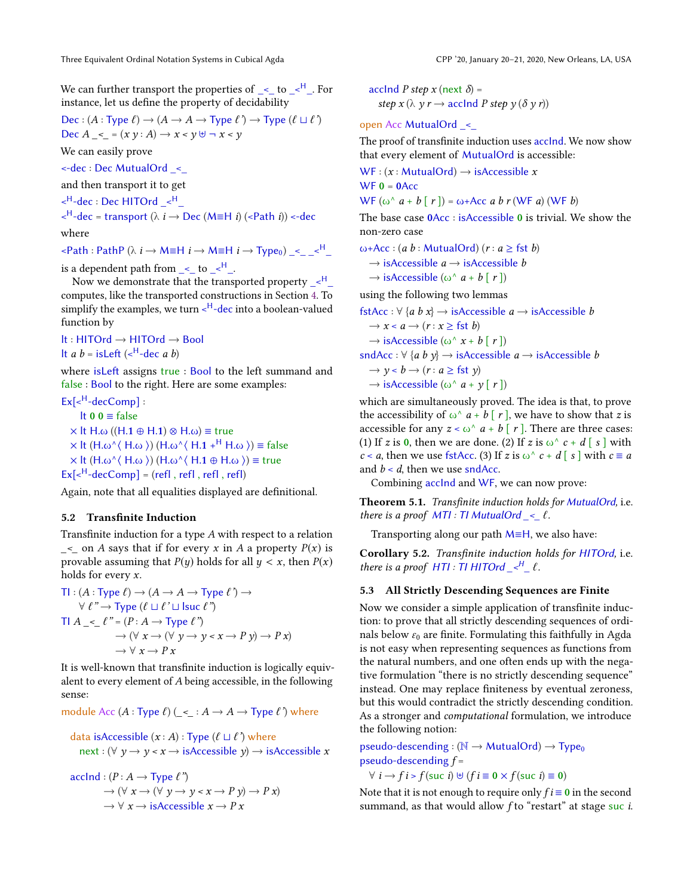We can further transport the properties of  $\leq$  to  $\leq$ <sup>H</sup>. For instance, let us define the property of decidability

$$
\text{Dec} : (A : \text{Type } \ell) \to (A \to A \to \text{Type } \ell') \to \text{Type } (\ell \sqcup \ell')
$$
\n
$$
\text{Dec } A \_\leq = (x \ y : A) \to x < y \ \forall \neg \ x < y
$$

We can easily prove

<-dec : Dec MutualOrd \_<\_

and then transport it to get

 $\leq^{\mathsf{H}}$ -dec : Dec HITOrd  $\leq^{\mathsf{H}}$ 

 $\langle e^{H}$ -dec = transport ( $\lambda$  *i*  $\rightarrow$  Dec (M $\equiv$ H *i*) ( $\langle$ -Path *i*))  $\langle$ -dec

where

 $\langle$ -Path : PathP ( $\lambda$  i  $\rightarrow$  M=H i  $\rightarrow$  M=H i  $\rightarrow$  Type<sub>0</sub>)  $\langle$ 

is a dependent path from  $\leq$  to  $\leq$ <sup>H</sup>.

Now we demonstrate that the transported property  $\leq^H$ computes, like the transported constructions in Section [4.](#page-7-0) To simplify the examples, we turn <<sup>H</sup>-dec into a boolean-valued function by

lt : HITOrd → HITOrd → Bool

It *a b* = isLeft ( $\lt^H$ -dec *a b*)

where isLeft assigns true : Bool to the left summand and false : Bool to the right. Here are some examples:

 $Ex[<sup>H</sup>-decComp]$ : lt 0 0 ≡ false

 $\times$  lt H.ω ((H.1  $\oplus$  H.1)  $\otimes$  H.ω)  $\equiv$  true  $\times$  lt (H.ω^ $\langle$  H.ω  $\rangle$ ) (H.ω^ $\langle$  H.1 +<sup>H</sup> H.ω  $\rangle$ ) = false  $\times$  lt (H.ω^ $\langle$  H.ω  $\rangle$ ) (H.ω^ $\langle$  H.1  $\oplus$  H.ω  $\rangle$ ) = true  $Ex[<sup>H</sup>-decComp] = (refl, refl, refl, refl)$ 

Again, note that all equalities displayed are definitional.

#### 5.2 Transfinite Induction

Transfinite induction for a type A with respect to a relation  $\leq$  on A says that if for every x in A a property  $P(x)$  is provable assuming that  $P(y)$  holds for all  $y < x$ , then  $P(x)$ holds for every x.

 $TI:(A:Type \ell) \rightarrow (A \rightarrow A \rightarrow Type \ell') \rightarrow$  $\forall \ell \rightarrow \text{Type } (\ell \sqcup \ell' \sqcup \text{Isuc } \ell'')$  $\textsf{TI} \ A \ \leq \ \ell^{\, \prime\prime} = (P : A \rightarrow \textsf{Type} \ \ell^{\, \prime\prime})$  $\rightarrow (\forall x \rightarrow (\forall y \rightarrow y \land x \rightarrow P \ y) \rightarrow P \ x)$  $\rightarrow \forall x \rightarrow P x$ 

It is well-known that transfinite induction is logically equivalent to every element of A being accessible, in the following sense:

module Acc  $(A : Type \ell)$   $(\leq : A \rightarrow A \rightarrow Type \ell)$  where

data isAccessible  $(x : A) : Type (\ell \sqcup \ell')$  where  $next: (\forall y \rightarrow y \leq x \rightarrow isAccessible y) \rightarrow isAccessible x$ 

$$
\begin{aligned}\n\text{acclnd}: (P: A \to \text{Type } \ell^{\prime}) \\
\to (\forall \ x \to (\forall \ y \to y < x \to P \ y) \to P \ x) \\
\to \forall \ x \to \text{is} \text{Accessible } x \to P \ x\n\end{aligned}
$$

accInd P step x (next  $\delta$ ) = step  $x (\lambda y r \rightarrow \text{acclnd } P \text{ step } y (\delta y r))$ 

open Acc MutualOrd \_<\_

The proof of transfinite induction uses accInd. We now show that every element of MutualOrd is accessible:

 $WF: (x : MutualOrd) \rightarrow isAccessible x$  $WF 0 = 0$ Acc

WF  $(\omega^{\wedge} a + b \mid r)$  =  $\omega$ +Acc a b r (WF a) (WF b)

The base case 0Acc : isAccessible 0 is trivial. We show the non-zero case

ω+Acc : (a b : MutualOrd) (r : a  $\ge$  fst b)

$$
\rightarrow
$$
 is  
Accessible  $a \rightarrow$  is  
Accessible  $b$ 

 $\rightarrow$  isAccessible ( $\omega^{\wedge} a + b \upharpoonright r \upharpoonright$ )

using the following two lemmas

fstAcc :  $\forall$  {a b x}  $\rightarrow$  isAccessible a  $\rightarrow$  isAccessible b  $\rightarrow$   $x < a \rightarrow (r : x \geq \text{fst } b)$  $\rightarrow$  isAccessible ( $\omega^{\wedge} x + b \upharpoonright r$ )

sndAcc :  $\forall$  {a b y}  $\rightarrow$  isAccessible a  $\rightarrow$  isAccessible b  $\rightarrow \nu < b \rightarrow (r : a \geq \text{fst } \nu)$ 

 $\rightarrow$  isAccessible ( $\omega$ <sup> $\wedge$ </sup>  $a + \gamma$  [  $r$  ])

which are simultaneously proved. The idea is that, to prove the accessibility of  $\omega^{\wedge} a + b \mid r \mid$ , we have to show that z is accessible for any  $z < \omega^{\wedge} a + b \mid r$ . There are three cases: (1) If z is 0, then we are done. (2) If z is  $\omega^{\wedge} c + d \mid s \mid$  with  $c < a$ , then we use fstAcc. (3) If z is  $\omega^{\wedge} c + d \in s$  with  $c \equiv a$ and  $b < d$ , then we use sndAcc.

Combining accInd and WF, we can now prove:

Theorem 5.1. Transfinite induction holds for MutualOrd, i.e. there is a proof  $MTI:TI$  MutualOrd  $\leq \ell$ .

Transporting along our path M≡H, we also have:

Corollary 5.2. Transfinite induction holds for HITOrd, i.e. there is a proof HTI : TI HITOrd  $\mathcal{L}^H_-\ell$ .

#### 5.3 All Strictly Descending Sequences are Finite

Now we consider a simple application of transfinite induction: to prove that all strictly descending sequences of ordinals below  $\varepsilon_0$  are finite. Formulating this faithfully in Agda is not easy when representing sequences as functions from the natural numbers, and one often ends up with the negative formulation "there is no strictly descending sequence" instead. One may replace finiteness by eventual zeroness, but this would contradict the strictly descending condition. As a stronger and computational formulation, we introduce the following notion:

pseudo-descending : ( $\mathbb{N} \rightarrow$  MutualOrd)  $\rightarrow$  Type<sub>0</sub> pseudo-descending  $f =$ 

 $\forall i \rightarrow f i > f$  (suc i)  $\forall f i \equiv 0 \times f$  (suc i)  $\equiv 0$ )

Note that it is not enough to require only  $f_i = 0$  in the second summand, as that would allow f to "restart" at stage suc *i*.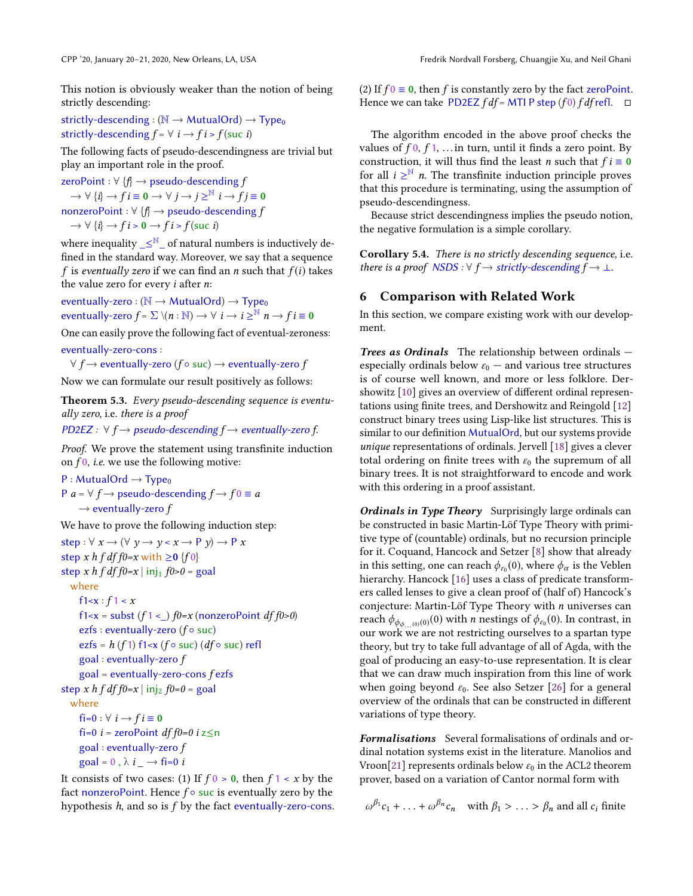This notion is obviously weaker than the notion of being strictly descending:

strictly-descending : ( $\mathbb{N} \rightarrow$  MutualOrd)  $\rightarrow$  Type<sub>0</sub> strictly-descending  $f = \forall i \rightarrow fi > f$  (suc i)

The following facts of pseudo-descendingness are trivial but play an important role in the proof.

zeroPoint :  $\forall$  { $f$ }  $\rightarrow$  pseudo-descending  $f$  $\rightarrow \forall$  { $i$ }  $\rightarrow$   $f$   $i \equiv$  0  $\rightarrow \forall$   $j$   $\rightarrow$   $j \geq$ <sup>N</sup>  $i \rightarrow$   $f$  $j \equiv$  0 nonzeroPoint : ∀ {f} → pseudo-descending f  $\rightarrow \forall$  {*i*}  $\rightarrow$  *f i* > 0  $\rightarrow$  *f i* > *f* (suc *i*)

where inequality  $\_{leq}^{\mathbb{N}}$  of natural numbers is inductively defined in the standard way. Moreover, we say that a sequence f is eventually zero if we can find an n such that  $f(i)$  takes the value zero for every  $i$  after  $n$ :

eventually-zero : ( $\mathbb{N} \rightarrow$  MutualOrd)  $\rightarrow$  Type<sub>0</sub> eventually-zero  $f$  =  $\sum \setminus (n:\mathbb{N}) \to \forall \,\, i \to i \geq^\mathbb{N} n \to f\, i \equiv \mathbf{0}$ 

One can easily prove the following fact of eventual-zeroness: eventually-zero-cons :

 $\forall f \rightarrow$  eventually-zero (f∘ suc)  $\rightarrow$  eventually-zero f

Now we can formulate our result positively as follows:

Theorem 5.3. Every pseudo-descending sequence is eventually zero, i.e. there is a proof

PD2EZ :  $\forall f \rightarrow$  pseudo-descending  $f \rightarrow$  eventually-zero f.

Proof. We prove the statement using transfinite induction on  $f_0$ , *i.e.* we use the following motive:

 $P: MutualOrd \rightarrow Type_0$ P  $a = \forall f \rightarrow$  pseudo-descending  $f \rightarrow f0 \equiv a$  $\rightarrow$  eventually-zero f

We have to prove the following induction step:

```
step : \forall x \rightarrow (\forall y \rightarrow y \langle x \rightarrow P y \rangle \rightarrow P xstep x h f df f0=x with \geq 0 {f 0}
step x h f df f0=x | inj<sub>1</sub> f0>0 = goal
  where
     f1\le x : f1 < xf1<x = subst (f1 <) f0=x (nonzeroPoint dff0>0)
     ezfs : eventually-zero (f \circ suc)
     ezfs = h(f_1) f1<x (f \circ suc) (df \circ suc) refl
     goal : eventually-zero f
     goal = eventually-zero-cons fezfsstep x h f df f0=x | inj<sub>2</sub> f0=0 = goal
  where
     fi=0 : \forall i \rightarrow f i \equiv 0fi=0 i = zeroPoint df f0=0 i z\leqn
     goal : eventually-zero f
     goal = 0, \lambda i \rightarrow fi=0 i
```
It consists of two cases: (1) If  $f \circ 0$  be the  $f \circ x$  by the fact nonzeroPoint. Hence  $f \circ$  suc is eventually zero by the hypothesis h, and so is f by the fact eventually-zero-cons. (2) If  $f_0 \equiv 0$ , then f is constantly zero by the fact zeroPoint. Hence we can take PD2EZ  $f df = MTI$  P step  $(f 0) f df$  refl.  $\Box$ 

The algorithm encoded in the above proof checks the values of  $f \cdot 0$ ,  $f \cdot 1$ , ... in turn, until it finds a zero point. By construction, it will thus find the least *n* such that  $f i \equiv 0$ for all  $i \geq^N n$ . The transfinite induction principle proves that this procedure is terminating, using the assumption of pseudo-descendingness.

Because strict descendingness implies the pseudo notion, the negative formulation is a simple corollary.

Corollary 5.4. There is no strictly descending sequence, i.e. there is a proof NSDS :  $\forall f \rightarrow \text{strictly-descending } f \rightarrow \bot$ .

#### 6 Comparison with Related Work

In this section, we compare existing work with our development.

Trees as Ordinals The relationship between ordinals especially ordinals below  $\varepsilon_0$  — and various tree structures is of course well known, and more or less folklore. Dershowitz [\[10\]](#page-12-2) gives an overview of different ordinal representations using finite trees, and Dershowitz and Reingold [\[12\]](#page-12-3) construct binary trees using Lisp-like list structures. This is similar to our definition MutualOrd, but our systems provide unique representations of ordinals. Jervell [\[18\]](#page-13-15) gives a clever total ordering on finite trees with  $\varepsilon_0$  the supremum of all binary trees. It is not straightforward to encode and work with this ordering in a proof assistant.

Ordinals in Type Theory Surprisingly large ordinals can be constructed in basic Martin-Löf Type Theory with primitive type of (countable) ordinals, but no recursion principle for it. Coquand, Hancock and Setzer [\[8\]](#page-12-10) show that already in this setting, one can reach  $\phi_{\varepsilon_0}(0)$ , where  $\phi_\alpha$  is the Veblen hierarchy. Hancock [\[16\]](#page-13-16) uses a class of predicate transformers called lenses to give a clean proof of (half of) Hancock's conjecture: Martin-Löf Type Theory with  $n$  universes can reach  $\phi_{\phi_{\phi}(\cdot,0)}(0)$  with *n* nestings of  $\phi_{\varepsilon_0}(0)$ . In contrast, in our work we are not restricting ourselves to a spartan type theory, but try to take full advantage of all of Agda, with the goal of producing an easy-to-use representation. It is clear that we can draw much inspiration from this line of work when going beyond  $\varepsilon_0$ . See also Setzer [\[26\]](#page-13-17) for a general overview of the ordinals that can be constructed in different variations of type theory.

Formalisations Several formalisations of ordinals and ordinal notation systems exist in the literature. Manolios and Vroon[\[21\]](#page-13-3) represents ordinals below  $\varepsilon_0$  in the ACL2 theorem prover, based on a variation of Cantor normal form with

 $\omega^{\beta_1} c_1 + \ldots + \omega^{\beta_n} c_n$  with  $\beta_1 > \ldots > \beta_n$  and all  $c_i$  finite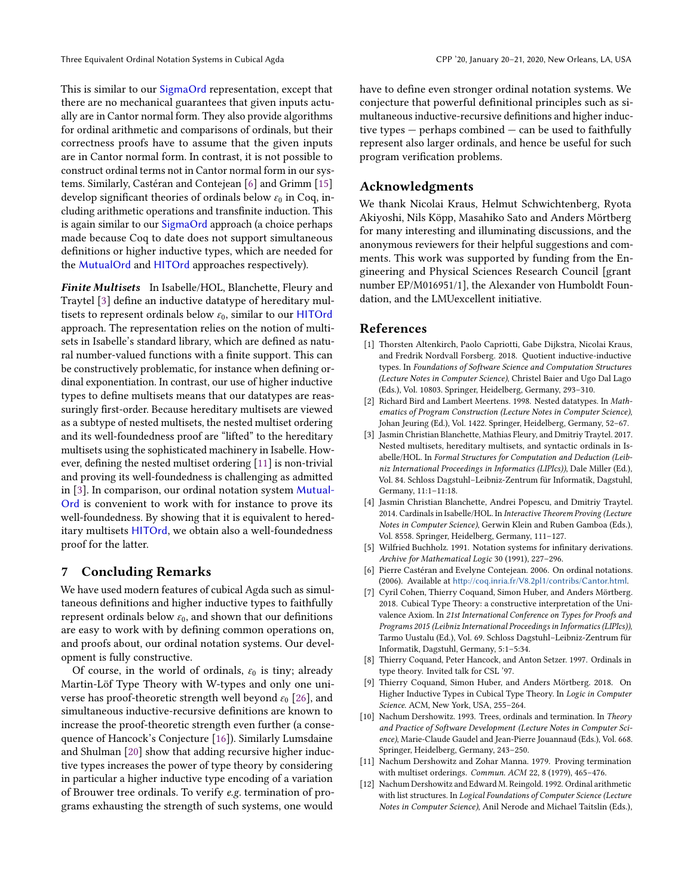This is similar to our SigmaOrd representation, except that there are no mechanical guarantees that given inputs actually are in Cantor normal form. They also provide algorithms for ordinal arithmetic and comparisons of ordinals, but their correctness proofs have to assume that the given inputs are in Cantor normal form. In contrast, it is not possible to construct ordinal terms not in Cantor normal form in our systems. Similarly, Castéran and Contejean [\[6\]](#page-12-11) and Grimm [\[15\]](#page-13-18) develop significant theories of ordinals below  $\varepsilon_0$  in Coq, including arithmetic operations and transfinite induction. This is again similar to our SigmaOrd approach (a choice perhaps made because Coq to date does not support simultaneous definitions or higher inductive types, which are needed for the MutualOrd and HITOrd approaches respectively).

Finite Multisets In Isabelle/HOL, Blanchette, Fleury and Traytel [\[3\]](#page-12-9) define an inductive datatype of hereditary multisets to represent ordinals below  $\varepsilon_0$ , similar to our HITOrd approach. The representation relies on the notion of multisets in Isabelle's standard library, which are defined as natural number-valued functions with a finite support. This can be constructively problematic, for instance when defining ordinal exponentiation. In contrast, our use of higher inductive types to define multisets means that our datatypes are reassuringly first-order. Because hereditary multisets are viewed as a subtype of nested multisets, the nested multiset ordering and its well-foundedness proof are "lifted" to the hereditary multisets using the sophisticated machinery in Isabelle. However, defining the nested multiset ordering [\[11\]](#page-12-0) is non-trivial and proving its well-foundedness is challenging as admitted in [\[3\]](#page-12-9). In comparison, our ordinal notation system Mutual-Ord is convenient to work with for instance to prove its well-foundedness. By showing that it is equivalent to hereditary multisets HITOrd, we obtain also a well-foundedness proof for the latter.

## 7 Concluding Remarks

We have used modern features of cubical Agda such as simultaneous definitions and higher inductive types to faithfully represent ordinals below  $\varepsilon_0$ , and shown that our definitions are easy to work with by defining common operations on, and proofs about, our ordinal notation systems. Our development is fully constructive.

Of course, in the world of ordinals,  $\varepsilon_0$  is tiny; already Martin-Löf Type Theory with W-types and only one universe has proof-theoretic strength well beyond  $\varepsilon_0$  [\[26\]](#page-13-17), and simultaneous inductive-recursive definitions are known to increase the proof-theoretic strength even further (a consequence of Hancock's Conjecture [\[16\]](#page-13-16)). Similarly Lumsdaine and Shulman [\[20\]](#page-13-8) show that adding recursive higher inductive types increases the power of type theory by considering in particular a higher inductive type encoding of a variation of Brouwer tree ordinals. To verify e.g. termination of programs exhausting the strength of such systems, one would

have to define even stronger ordinal notation systems. We conjecture that powerful definitional principles such as simultaneous inductive-recursive definitions and higher inductive types  $-$  perhaps combined  $-$  can be used to faithfully represent also larger ordinals, and hence be useful for such program verification problems.

## Acknowledgments

We thank Nicolai Kraus, Helmut Schwichtenberg, Ryota Akiyoshi, Nils Köpp, Masahiko Sato and Anders Mörtberg for many interesting and illuminating discussions, and the anonymous reviewers for their helpful suggestions and comments. This work was supported by funding from the Engineering and Physical Sciences Research Council [grant number EP/M016951/1], the Alexander von Humboldt Foundation, and the LMUexcellent initiative.

#### References

- <span id="page-12-5"></span>[1] Thorsten Altenkirch, Paolo Capriotti, Gabe Dijkstra, Nicolai Kraus, and Fredrik Nordvall Forsberg. 2018. Quotient inductive-inductive types. In Foundations of Software Science and Computation Structures (Lecture Notes in Computer Science), Christel Baier and Ugo Dal Lago (Eds.), Vol. 10803. Springer, Heidelberg, Germany, 293–310.
- <span id="page-12-8"></span>[2] Richard Bird and Lambert Meertens. 1998. Nested datatypes. In Mathematics of Program Construction (Lecture Notes in Computer Science), Johan Jeuring (Ed.), Vol. 1422. Springer, Heidelberg, Germany, 52–67.
- <span id="page-12-9"></span>[3] Jasmin Christian Blanchette, Mathias Fleury, and Dmitriy Traytel. 2017. Nested multisets, hereditary multisets, and syntactic ordinals in Isabelle/HOL. In Formal Structures for Computation and Deduction (Leibniz International Proceedings in Informatics (LIPIcs)), Dale Miller (Ed.), Vol. 84. Schloss Dagstuhl–Leibniz-Zentrum für Informatik, Dagstuhl, Germany, 11:1–11:18.
- <span id="page-12-1"></span>[4] Jasmin Christian Blanchette, Andrei Popescu, and Dmitriy Traytel. 2014. Cardinals in Isabelle/HOL. In Interactive Theorem Proving (Lecture Notes in Computer Science), Gerwin Klein and Ruben Gamboa (Eds.), Vol. 8558. Springer, Heidelberg, Germany, 111–127.
- <span id="page-12-4"></span>[5] Wilfried Buchholz. 1991. Notation systems for infinitary derivations. Archive for Mathematical Logic 30 (1991), 227–296.
- <span id="page-12-11"></span>[6] Pierre Castéran and Evelyne Contejean. 2006. On ordinal notations. (2006). Available at <http://coq.inria.fr/V8.2pl1/contribs/Cantor.html>.
- <span id="page-12-6"></span>[7] Cyril Cohen, Thierry Coquand, Simon Huber, and Anders Mörtberg. 2018. Cubical Type Theory: a constructive interpretation of the Univalence Axiom. In 21st International Conference on Types for Proofs and Programs 2015 (Leibniz International Proceedings in Informatics (LIPIcs)), Tarmo Uustalu (Ed.), Vol. 69. Schloss Dagstuhl–Leibniz-Zentrum für Informatik, Dagstuhl, Germany, 5:1–5:34.
- <span id="page-12-10"></span>[8] Thierry Coquand, Peter Hancock, and Anton Setzer. 1997. Ordinals in type theory. Invited talk for CSL '97.
- <span id="page-12-7"></span>[9] Thierry Coquand, Simon Huber, and Anders Mörtberg. 2018. On Higher Inductive Types in Cubical Type Theory. In Logic in Computer Science. ACM, New York, USA, 255–264.
- <span id="page-12-2"></span>[10] Nachum Dershowitz. 1993. Trees, ordinals and termination. In Theory and Practice of Software Development (Lecture Notes in Computer Science), Marie-Claude Gaudel and Jean-Pierre Jouannaud (Eds.), Vol. 668. Springer, Heidelberg, Germany, 243–250.
- <span id="page-12-0"></span>[11] Nachum Dershowitz and Zohar Manna. 1979. Proving termination with multiset orderings. Commun. ACM 22, 8 (1979), 465–476.
- <span id="page-12-3"></span>[12] Nachum Dershowitz and Edward M. Reingold. 1992. Ordinal arithmetic with list structures. In Logical Foundations of Computer Science (Lecture Notes in Computer Science), Anil Nerode and Michael Taitslin (Eds.),